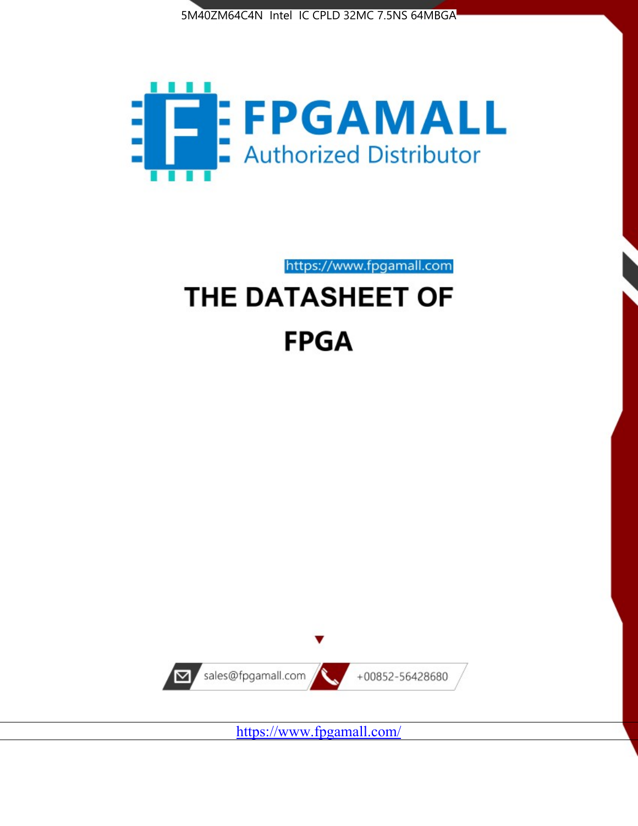



https://www.fpgamall.com

# THE DATASHEET OF **FPGA**



<https://www.fpgamall.com/>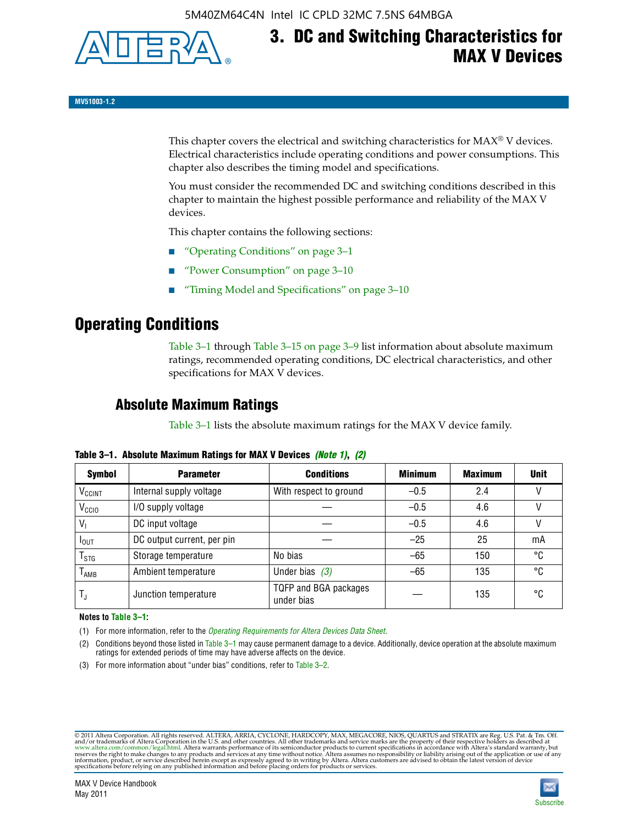

# **3. DC and Switching Characteristics for MAX V Devices**

**MV51003-1.2**

This chapter covers the electrical and switching characteristics for  $MAX^{\circ}$  V devices. Electrical characteristics include operating conditions and power consumptions. This chapter also describes the timing model and specifications.

You must consider the recommended DC and switching conditions described in this chapter to maintain the highest possible performance and reliability of the MAX V devices.

This chapter contains the following sections:

- "Operating Conditions" on page 3–1
- "Power Consumption" on page 3–10
- "Timing Model and Specifications" on page 3–10

## **Operating Conditions**

Table 3–1 through Table 3–15 on page 3–9 list information about absolute maximum ratings, recommended operating conditions, DC electrical characteristics, and other specifications for MAX V devices.

### **Absolute Maximum Ratings**

Table 3–1 lists the absolute maximum ratings for the MAX V device family.

| <b>Symbol</b>               | <b>Parameter</b>           | <b>Conditions</b>                   | <b>Minimum</b> | <b>Maximum</b> | <b>Unit</b> |
|-----------------------------|----------------------------|-------------------------------------|----------------|----------------|-------------|
| V <sub>CCINT</sub>          | Internal supply voltage    | With respect to ground              | $-0.5$         | 2.4            |             |
| V <sub>CCIO</sub>           | I/O supply voltage         |                                     | $-0.5$         | 4.6            |             |
| $V_1$                       | DC input voltage           |                                     | $-0.5$         | 4.6            |             |
| $I_{\text{OUT}}$            | DC output current, per pin |                                     | $-25$          | 25             | mA          |
| $\mathsf{T}_{\textsf{STG}}$ | Storage temperature        | No bias                             | $-65$          | 150            | °C          |
| $T_{AMB}$                   | Ambient temperature        | Under bias $(3)$                    | $-65$          | 135            | °C          |
| $T_{\text{J}}$              | Junction temperature       | TQFP and BGA packages<br>under bias |                | 135            | ۰c          |

**Table 3–1. Absolute Maximum Ratings for MAX V Devices** *(Note 1)***,** *(2)*

**Notes to Table 3–1:**

(1) For more information, refer to the *[Operating Requirements for Altera Devices Data Sheet](http://www.altera.com/literature/ds/dsoprq.pdf)*.

(2) Conditions beyond those listed in Table 3–1 may cause permanent damage to a device. Additionally, device operation at the absolute maximum ratings for extended periods of time may have adverse affects on the device.

(3) For more information about "under bias" conditions, refer to Table 3–2.

@2011 Altera Corporation. All rights reserved. ALTERA, ARRIA, CYCLONE, HARDCOPY, MAX, MEGACORE, NIOS, QUARTUS and STRATIX are Reg. U.S. Pat. & Tm. Off. [and/or trademarks of Altera Corporat](http://www.altera.com/common/legal.html)ion in the U.S. and other countrie

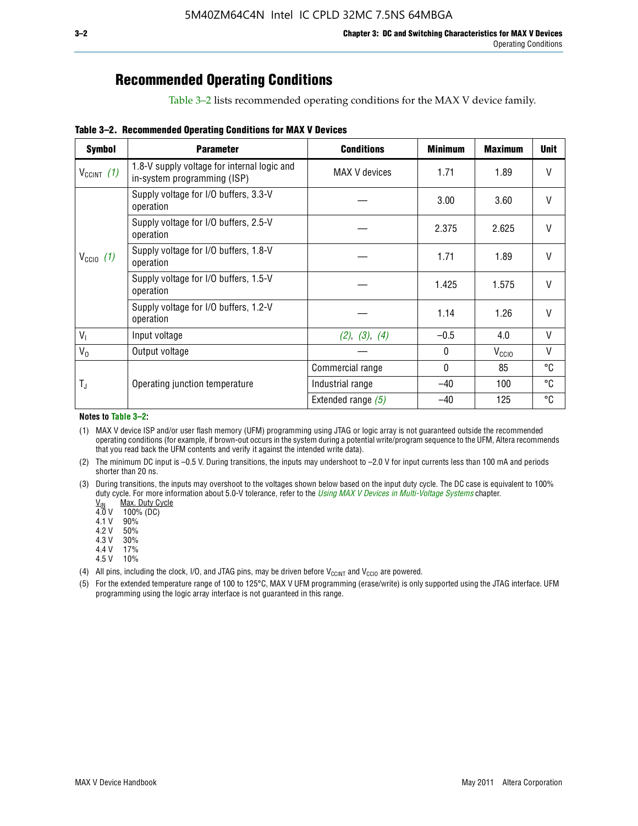# **Recommended Operating Conditions**

Table 3–2 lists recommended operating conditions for the MAX V device family.

**Table 3–2. Recommended Operating Conditions for MAX V Devices**

| <b>Symbol</b>        | <b>Parameter</b>                                                           | <b>Conditions</b>    | <b>Minimum</b> | <b>Maximum</b>    | <b>Unit</b>  |
|----------------------|----------------------------------------------------------------------------|----------------------|----------------|-------------------|--------------|
| $V_{CClNT}$ (1)      | 1.8-V supply voltage for internal logic and<br>in-system programming (ISP) | MAX V devices        | 1.71           | 1.89              | V            |
|                      | Supply voltage for I/O buffers, 3.3-V<br>operation                         |                      | 3.00           | 3.60              | $\mathsf{V}$ |
|                      | Supply voltage for I/O buffers, 2.5-V<br>operation                         |                      | 2.375          | 2.625             | $\mathsf{V}$ |
| $V_{\text{CCIO}}(1)$ | Supply voltage for I/O buffers, 1.8-V<br>operation                         |                      | 1.71           | 1.89              | $\mathsf{V}$ |
|                      | Supply voltage for I/O buffers, 1.5-V<br>operation                         |                      | 1.425          | 1.575             | V            |
|                      | Supply voltage for I/O buffers, 1.2-V<br>operation                         |                      | 1.14           | 1.26              | V            |
| $V_{1}$              | Input voltage                                                              | (2), (3), (4)        | $-0.5$         | 4.0               | V            |
| $V_0$                | Output voltage                                                             |                      | 0              | V <sub>CCIO</sub> | V            |
|                      |                                                                            | Commercial range     | 0              | 85                | °C           |
| T,                   | Operating junction temperature                                             | Industrial range     | $-40$          | 100               | °C           |
|                      |                                                                            | Extended range $(5)$ | $-40$          | 125               | °C           |

#### **Notes to Table 3–2:**

(1) MAX V device ISP and/or user flash memory (UFM) programming using JTAG or logic array is not guaranteed outside the recommended operating conditions (for example, if brown-out occurs in the system during a potential write/program sequence to the UFM, Altera recommends that you read back the UFM contents and verify it against the intended write data).

(2) The minimum DC input is –0.5 V. During transitions, the inputs may undershoot to –2.0 V for input currents less than 100 mA and periods shorter than 20 ns.

(3) During transitions, the inputs may overshoot to the voltages shown below based on the input duty cycle. The DC case is equivalent to 100% duty cycle. For more information about 5.0-V tolerance, refer to the *Using MAX V Devices in Multi-Voltage Systems* chapter.<br>
<u>V<sub>IN</sub> Max. Duty Cycle</u><br>
4.0 V 100% (DC)

Max. Duty Cycle

 $100\%$  (DC)<br>90%

 $4.1 V$ 

4.2 V 50%

4.3 V 30%<br>4.4 V 17%

4.4 V 4.5 V 10%

(4) All pins, including the clock, I/O, and JTAG pins, may be driven before  $V_{C C I N T}$  and  $V_{C C I O}$  are powered.

(5) For the extended temperature range of 100 to 125°C, MAX V UFM programming (erase/write) is only supported using the JTAG interface. UFM programming using the logic array interface is not guaranteed in this range.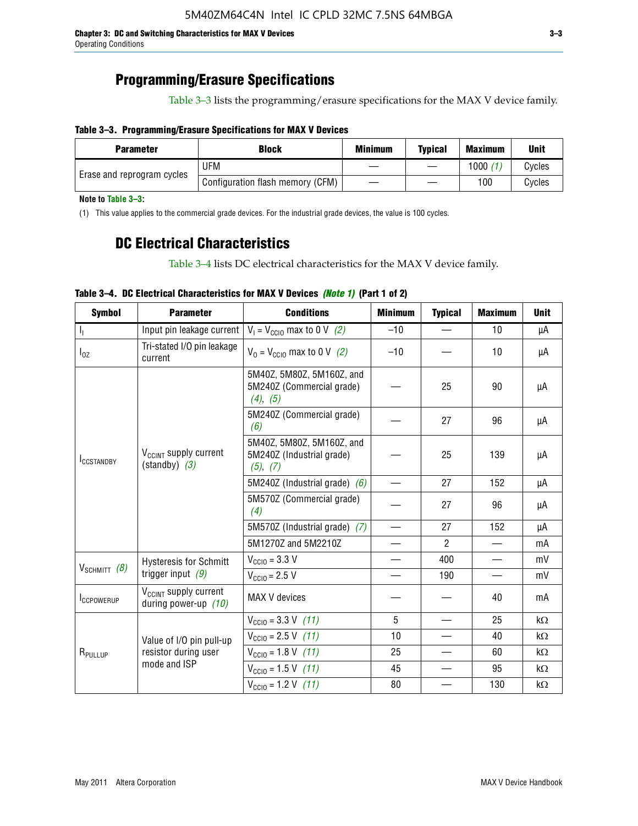### **Programming/Erasure Specifications**

Table 3–3 lists the programming/erasure specifications for the MAX V device family.

### **Table 3–3. Programming/Erasure Specifications for MAX V Devices**

| <b>Block</b><br><b>Parameter</b> |                                  | <b>Minimum</b> | <b>Typical</b> | <b>Maximum</b> | <b>Unit</b> |
|----------------------------------|----------------------------------|----------------|----------------|----------------|-------------|
|                                  | UFM                              |                |                | 1000           | Cycles      |
| Erase and reprogram cycles       | Configuration flash memory (CFM) |                |                | 100            | Cvcles      |

**Note to Table 3–3:**

(1) This value applies to the commercial grade devices. For the industrial grade devices, the value is 100 cycles.

### **DC Electrical Characteristics**

Table 3–4 lists DC electrical characteristics for the MAX V device family.

| <b>Symbol</b>       | <b>Parameter</b>                                            | <b>Conditions</b>                                                  | <b>Minimum</b>           | <b>Typical</b> | <b>Maximum</b>           | <b>Unit</b> |
|---------------------|-------------------------------------------------------------|--------------------------------------------------------------------|--------------------------|----------------|--------------------------|-------------|
| Т,                  | Input pin leakage current                                   | $V_1 = V_{\text{CC10}}$ max to 0 V (2)                             | $-10$                    |                | 10                       | μA          |
| $I_{0Z}$            | Tri-stated I/O pin leakage<br>current                       | $V_0 = V_{\text{CC10}}$ max to 0 V (2)                             | $-10$                    |                | 10                       | μA          |
|                     |                                                             | 5M40Z, 5M80Z, 5M160Z, and<br>5M240Z (Commercial grade)<br>(4), (5) |                          | 25             | 90                       | μA          |
|                     |                                                             | 5M240Z (Commercial grade)<br>(6)                                   |                          | 27             | 96                       | μA          |
| <b>ICCSTANDBY</b>   | V <sub>CCINT</sub> supply current<br>$(statably)$ (3)       | 5M40Z, 5M80Z, 5M160Z, and<br>5M240Z (Industrial grade)<br>(5), (7) |                          | 25             | 139                      | μA          |
|                     |                                                             | 5M240Z (Industrial grade) $(6)$                                    |                          | 27             | 152                      | μA          |
|                     |                                                             | 5M570Z (Commercial grade)<br>(4)                                   |                          | 27             | 96                       | μA          |
|                     |                                                             | 5M570Z (Industrial grade) (7)                                      |                          | 27             | 152                      | μA          |
|                     |                                                             | 5M1270Z and 5M2210Z                                                | $\overline{\phantom{0}}$ | $\mathcal{P}$  |                          | mA          |
|                     | <b>Hysteresis for Schmitt</b>                               | $V_{\text{CC10}} = 3.3 \text{ V}$                                  | $\qquad \qquad$          | 400            | $\overline{\phantom{0}}$ | mV          |
| $V_{SCHMIT}$ (8)    | trigger input $(9)$                                         | $V_{\text{CC10}} = 2.5 V$                                          |                          | 190            |                          | mV          |
| <b>ICCPOWERUP</b>   | V <sub>CCINT</sub> supply current<br>during power-up $(10)$ | MAX V devices                                                      |                          |                | 40                       | mA          |
|                     |                                                             | $V_{\text{CC10}} = 3.3 \text{ V} (11)$                             | 5                        |                | 25                       | kΩ          |
|                     | Value of I/O pin pull-up                                    | $V_{\text{CGI0}} = 2.5 \text{ V}$ (11)                             | 10                       |                | 40                       | kΩ          |
| R <sub>PULLUP</sub> | resistor during user                                        | $V_{\text{CC10}} = 1.8 \text{ V} (11)$                             | 25                       |                | 60                       | kΩ          |
|                     | mode and ISP                                                | $V_{\text{CC10}} = 1.5 \text{ V} (11)$                             | 45                       |                | 95                       | kΩ          |
|                     |                                                             | $V_{\text{CC10}} = 1.2 \text{ V} (11)$                             | 80                       |                | 130                      | kΩ          |

### **Table 3–4. DC Electrical Characteristics for MAX V Devices** *(Note 1)* **(Part 1 of 2)**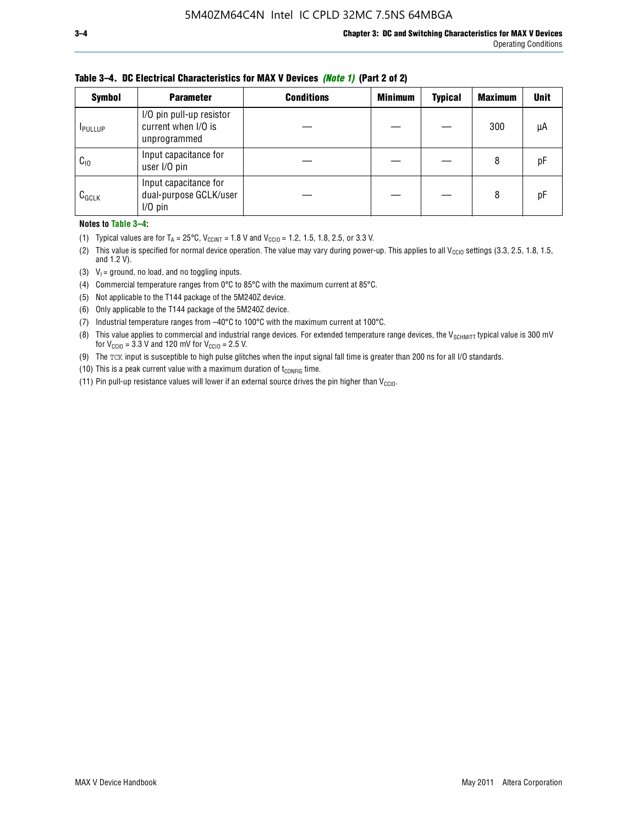| <b>Symbol</b> | <b>Parameter</b>                                                | <b>Conditions</b> | <b>Minimum</b> | <b>Typical</b> | <b>Maximum</b> | <b>Unit</b> |
|---------------|-----------------------------------------------------------------|-------------------|----------------|----------------|----------------|-------------|
| <b>PULLUP</b> | I/O pin pull-up resistor<br>current when I/O is<br>unprogrammed |                   |                |                | 300            | μA          |
| $C_{10}$      | Input capacitance for<br>user I/O pin                           |                   |                |                | 8              | рF          |
| $C_{GCLK}$    | Input capacitance for<br>dual-purpose GCLK/user<br>$I/O$ pin    |                   |                |                | 8              | рF          |

**Table 3–4. DC Electrical Characteristics for MAX V Devices** *(Note 1)* **(Part 2 of 2)**

**Notes to Table 3–4:**

- (1) Typical values are for  $T_A = 25^{\circ}\text{C}$ ,  $V_{\text{CCINT}} = 1.8 \text{ V}$  and  $V_{\text{CCIO}} = 1.2, 1.5, 1.8, 2.5,$  or 3.3 V.
- (2) This value is specified for normal device operation. The value may vary during power-up. This applies to all V<sub>CCIO</sub> settings (3.3, 2.5, 1.8, 1.5, and 1.2 V).
- (3)  $V_1$  = ground, no load, and no toggling inputs.
- (4) Commercial temperature ranges from 0°C to 85°C with the maximum current at 85°C.
- (5) Not applicable to the T144 package of the 5M240Z device.
- (6) Only applicable to the T144 package of the 5M240Z device.
- (7) Industrial temperature ranges from –40°C to 100°C with the maximum current at 100°C.
- (8) This value applies to commercial and industrial range devices. For extended temperature range devices, the  $V_{SCHMIT}$  typical value is 300 mV for  $V_{\text{CCIO}} = 3.3$  V and 120 mV for  $V_{\text{CCIO}} = 2.5$  V.
- (9) The TCK input is susceptible to high pulse glitches when the input signal fall time is greater than 200 ns for all I/O standards.
- (10) This is a peak current value with a maximum duration of  $t_{\text{CONFIG}}$  time.
- (11) Pin pull-up resistance values will lower if an external source drives the pin higher than  $V_{\text{CCIO}}$ .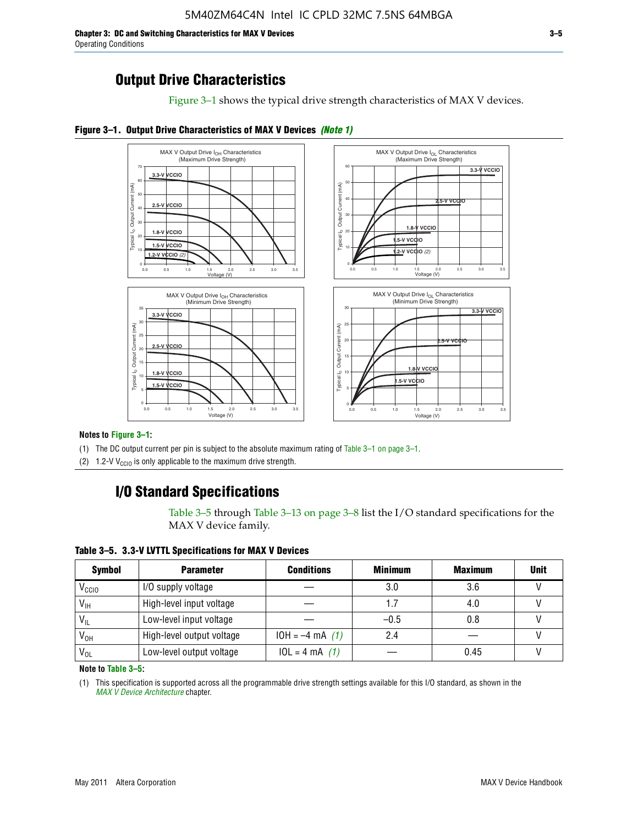**Chapter 3: DC and Switching Characteristics for MAX V Devices 3–5** Operating Conditions

Figure 3–1 shows the typical drive strength characteristics of MAX V devices.





#### **Notes to Figure 3–1:**

(1) The DC output current per pin is subject to the absolute maximum rating of Table 3–1 on page 3–1.

(2) 1.2-V V<sub>CCIO</sub> is only applicable to the maximum drive strength.

### **I/O Standard Specifications**

Table 3–5 through Table 3–13 on page 3–8 list the I/O standard specifications for the MAX V device family.

**Table 3–5. 3.3-V LVTTL Specifications for MAX V Devices**

| <b>Symbol</b>     | <b>Parameter</b>          | <b>Conditions</b> | <b>Minimum</b> | <b>Maximum</b> | <b>Unit</b> |
|-------------------|---------------------------|-------------------|----------------|----------------|-------------|
| V <sub>ccio</sub> | I/O supply voltage        |                   | 3.0            | 3.6            |             |
| $V_{IH}$          | High-level input voltage  |                   | 1.7            | 4.0            |             |
| $V_{IL}$          | Low-level input voltage   |                   | $-0.5$         | 0.8            |             |
| V <sub>он</sub>   | High-level output voltage | $10H = -4 mA$ (1) | 2.4            |                |             |
| $V_{OL}$          | Low-level output voltage  | $10L = 4 mA$ (1)  |                | 0.45           |             |

**Note to Table 3–5:**

(1) This specification is supported across all the programmable drive strength settings available for this I/O standard, as shown in the *[MAX V Device Architecture](http://www.altera.com/literature/hb/max-v/mv51002.pdf)* chapter.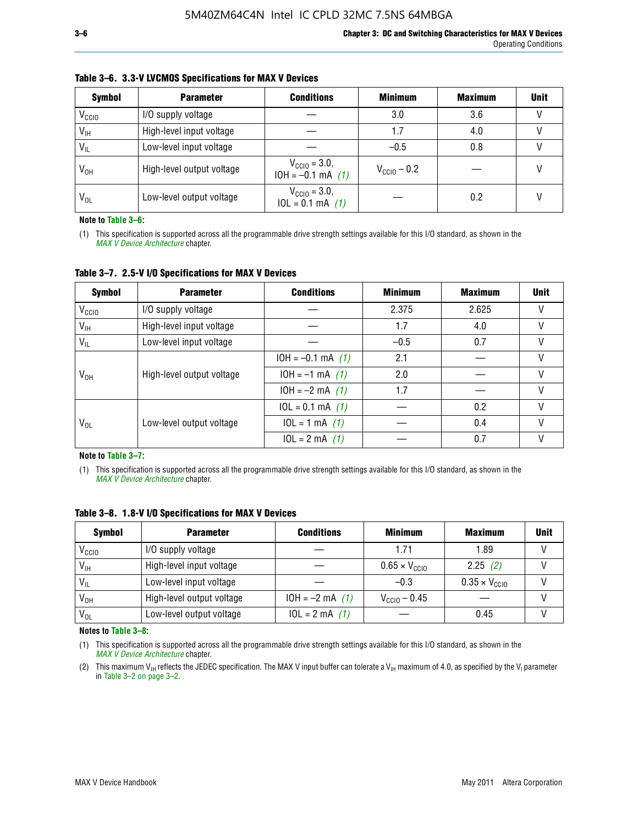| <b>Symbol</b>     | <b>Parameter</b>          | <b>Conditions</b>                                 | <b>Minimum</b>          | <b>Maximum</b> | <b>Unit</b> |
|-------------------|---------------------------|---------------------------------------------------|-------------------------|----------------|-------------|
| V <sub>CCIO</sub> | I/O supply voltage        |                                                   | 3.0                     | 3.6            |             |
| $V_{IH}$          | High-level input voltage  |                                                   | 1.7                     | 4.0            |             |
| $V_{IL}$          | Low-level input voltage   |                                                   | $-0.5$                  | 0.8            |             |
| $V_{OH}$          | High-level output voltage | $V_{\text{CC10}} = 3.0,$<br>$10H = -0.1$ mA $(1)$ | $V_{\text{CCIO}} - 0.2$ |                |             |
| $V_{OL}$          | Low-level output voltage  | $V_{\text{CGI0}} = 3.0,$<br>$10L = 0.1$ mA $(1)$  |                         | 0.2            |             |

#### **Table 3–6. 3.3-V LVCMOS Specifications for MAX V Devices**

**Note to Table 3–6:**

(1) This specification is supported across all the programmable drive strength settings available for this I/O standard, as shown in the *[MAX V Device Architecture](http://www.altera.com/literature/hb/max-v/mv51002.pdf)* chapter.

**Table 3–7. 2.5-V I/O Specifications for MAX V Devices**

| <b>Symbol</b>     | <b>Parameter</b>          | <b>Conditions</b>     | <b>Minimum</b> | <b>Maximum</b> | <b>Unit</b> |
|-------------------|---------------------------|-----------------------|----------------|----------------|-------------|
| V <sub>CCIO</sub> | I/O supply voltage        |                       | 2.375          | 2.625          |             |
| $V_{\text{IH}}$   | High-level input voltage  |                       | 1.7            | 4.0            | V           |
| $V_{IL}$          | Low-level input voltage   |                       | $-0.5$         | 0.7            |             |
|                   | High-level output voltage | $10H = -0.1$ mA $(1)$ | 2.1            |                |             |
| V <sub>он</sub>   |                           | $10H = -1$ mA $(1)$   | 2.0            |                |             |
|                   |                           | $10H = -2 mA$ (1)     | 1.7            |                | V           |
|                   |                           | $10L = 0.1$ mA $(1)$  |                | 0.2            |             |
| V <sub>OL</sub>   | Low-level output voltage  | $10L = 1 mA$ (1)      |                | 0.4            |             |
|                   |                           | $10L = 2 mA$ (1)      |                | 0.7            |             |

**Note to Table 3–7:**

(1) This specification is supported across all the programmable drive strength settings available for this I/O standard, as shown in the *[MAX V Device Architecture](http://www.altera.com/literature/hb/max-v/mv51002.pdf)* chapter.

| <b>Symbol</b>     | <b>Parameter</b>          | <b>Conditions</b> | <b>Minimum</b>                | <b>Maximum</b>                | <b>Unit</b> |
|-------------------|---------------------------|-------------------|-------------------------------|-------------------------------|-------------|
| V <sub>ccio</sub> | I/O supply voltage        |                   | 1.71                          | 1.89                          |             |
| $V_{\text{IH}}$   | High-level input voltage  |                   | $0.65 \times V_{\text{CGI0}}$ | 2.25(2)                       |             |
| $V_{IL}$          | Low-level input voltage   |                   | $-0.3$                        | $0.35 \times V_{\text{CC10}}$ |             |
| V <sub>он</sub>   | High-level output voltage | $10H = -2 mA$ (1) | $V_{\text{CCI0}} - 0.45$      |                               |             |
| $V_{OL}$          | Low-level output voltage  | $10L = 2 mA$ (1)  |                               | 0.45                          |             |

**Table 3–8. 1.8-V I/O Specifications for MAX V Devices**

**Notes to Table 3–8:**

(1) This specification is supported across all the programmable drive strength settings available for this I/O standard, as shown in the *[MAX V Device Architecture](http://www.altera.com/literature/hb/max-v/mv51002.pdf)* chapter.

(2) This maximum V<sub>IH</sub> reflects the JEDEC specification. The MAX V input buffer can tolerate a V<sub>IH</sub> maximum of 4.0, as specified by the V<sub>I</sub> parameter in Table 3–2 on page 3–2.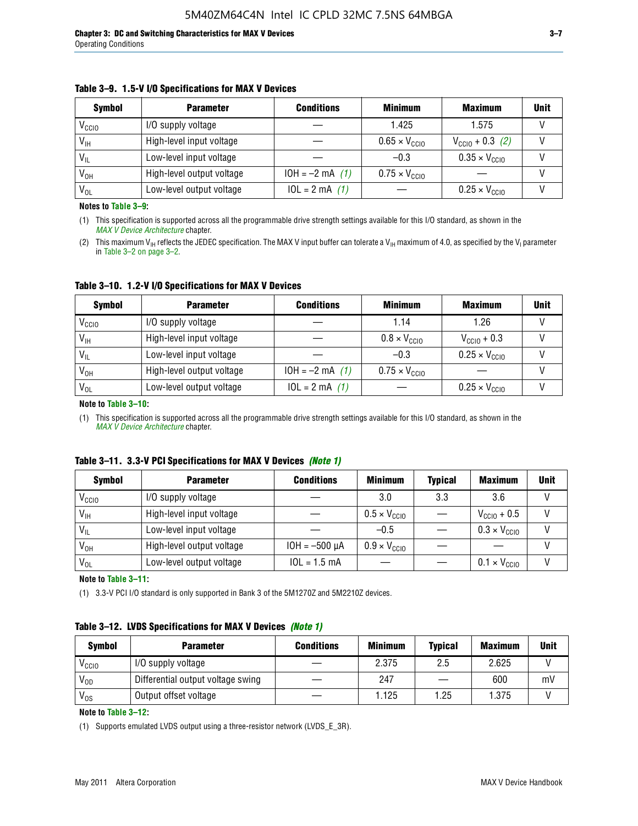#### **Table 3–9. 1.5-V I/O Specifications for MAX V Devices**

| <b>Symbol</b>     | <b>Parameter</b>          | <b>Conditions</b> | <b>Minimum</b>                | <b>Maximum</b>                | <b>Unit</b> |
|-------------------|---------------------------|-------------------|-------------------------------|-------------------------------|-------------|
| V <sub>CCIO</sub> | I/O supply voltage        |                   | 1.425                         | 1.575                         |             |
| $V_{IH}$          | High-level input voltage  |                   | $0.65 \times V_{\text{CC10}}$ | $V_{CGI0} + 0.3$ (2)          |             |
| $V_{IL}$          | Low-level input voltage   |                   | $-0.3$                        | $0.35 \times V_{\text{CC10}}$ |             |
| V <sub>OH</sub>   | High-level output voltage | $10H = -2 mA$ (1) | $0.75 \times V_{\text{CGI}0}$ |                               |             |
| $V_{OL}$          | Low-level output voltage  | $10L = 2 mA$ (1)  |                               | $0.25 \times V_{\text{CGI0}}$ |             |

**Notes to Table 3–9:**

(1) This specification is supported across all the programmable drive strength settings available for this I/O standard, as shown in the *[MAX V Device Architecture](http://www.altera.com/literature/hb/max-v/mv51002.pdf)* chapter.

(2) This maximum V<sub>IH</sub> reflects the JEDEC specification. The MAX V input buffer can tolerate a V<sub>IH</sub> maximum of 4.0, as specified by the V<sub>I</sub> parameter in Table 3–2 on page 3–2.

**Table 3–10. 1.2-V I/O Specifications for MAX V Devices**

| <b>Symbol</b>     | <b>Parameter</b>          | <b>Conditions</b> | <b>Minimum</b>               | <b>Maximum</b>                | <b>Unit</b> |
|-------------------|---------------------------|-------------------|------------------------------|-------------------------------|-------------|
| V <sub>CCIO</sub> | I/O supply voltage        |                   | 1.14                         | 1.26                          |             |
| $V_{IH}$          | High-level input voltage  |                   | $0.8 \times V_{\text{CCIO}}$ | $V_{\text{CC10}} + 0.3$       |             |
| $V_{IL}$          | Low-level input voltage   |                   | $-0.3$                       | $0.25 \times V_{\text{CCIO}}$ |             |
| V <sub>OH</sub>   | High-level output voltage | $10H = -2 mA$ (1) | $0.75 \times V_{\text{CCI}}$ |                               |             |
| $V_{OL}$          | Low-level output voltage  | $10L = 2 mA$ (1)  |                              | $0.25 \times V_{\text{CGI0}}$ |             |

#### **Note to Table 3–10:**

(1) This specification is supported across all the programmable drive strength settings available for this I/O standard, as shown in the *[MAX V Device Architecture](http://www.altera.com/literature/hb/max-v/mv51002.pdf)* chapter.

|  |  | Table 3–11. 3.3-V PCI Specifications for MAX V Devices (Note 1) |  |  |  |  |
|--|--|-----------------------------------------------------------------|--|--|--|--|
|--|--|-----------------------------------------------------------------|--|--|--|--|

| <b>Symbol</b>     | <b>Parameter</b>          | <b>Conditions</b>  | <b>Minimum</b>               | <b>Typical</b> | <b>Maximum</b>               | <b>Unit</b> |
|-------------------|---------------------------|--------------------|------------------------------|----------------|------------------------------|-------------|
| V <sub>CCIO</sub> | I/O supply voltage        |                    | 3.0                          | 3.3            | 3.6                          |             |
| $V_{\text{IH}}$   | High-level input voltage  |                    | $0.5 \times V_{\text{CCIO}}$ |                | $V_{\text{CC10}} + 0.5$      |             |
| $V_{IL}$          | Low-level input voltage   |                    | $-0.5$                       |                | $0.3 \times V_{\text{CC10}}$ |             |
| $V_{OH}$          | High-level output voltage | $10H = -500 \mu A$ | $0.9 \times V_{\text{CC10}}$ |                |                              |             |
| $V_{OL}$          | Low-level output voltage  | $10L = 1.5 mA$     |                              |                | $0.1 \times V_{\text{CC10}}$ |             |

**Note to Table 3–11:**

(1) 3.3-V PCI I/O standard is only supported in Bank 3 of the 5M1270Z and 5M2210Z devices.

### **Table 3–12. LVDS Specifications for MAX V Devices** *(Note 1)*

| <b>Symbol</b> | <b>Parameter</b>                  | <b>Conditions</b> | <b>Minimum</b> | <b>Typical</b> | <b>Maximum</b> | Unit |
|---------------|-----------------------------------|-------------------|----------------|----------------|----------------|------|
| Vccio         | I/O supply voltage                |                   | 2.375          | 2.5            | 2.625          |      |
| $V_{OD}$      | Differential output voltage swing |                   | 247            |                | 600            | mV   |
| $V_{OS}$      | Output offset voltage             |                   | 1.125          | 1.25           | 1.375          |      |

**Note to Table 3–12:**

(1) Supports emulated LVDS output using a three-resistor network (LVDS\_E\_3R).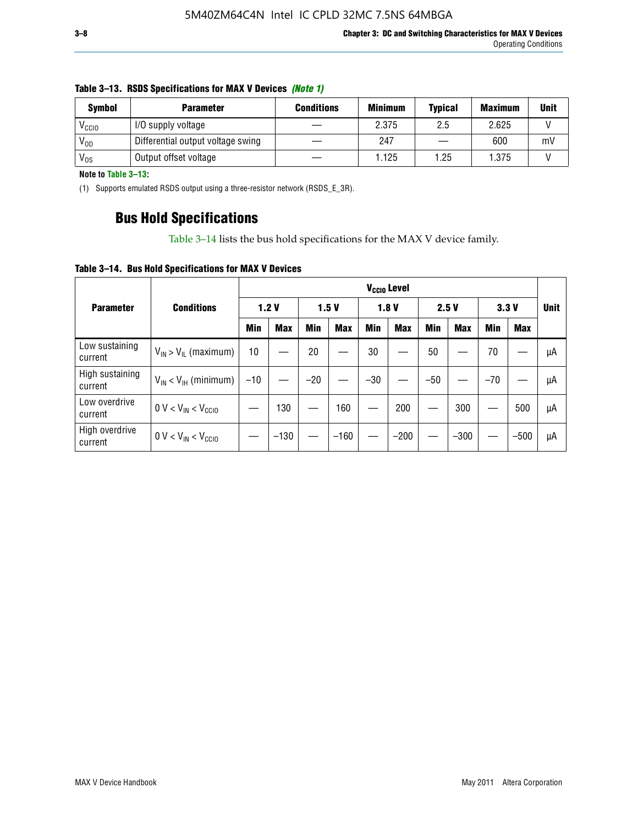| <b>Symbol</b>     | <b>Parameter</b>                  | <b>Conditions</b> | <b>Minimum</b> | <b>Typical</b> | <b>Maximum</b> | <b>Unit</b> |
|-------------------|-----------------------------------|-------------------|----------------|----------------|----------------|-------------|
| V <sub>CCIO</sub> | I/O supply voltage                |                   | 2.375          | 2.5            | 2.625          |             |
| $V_{OD}$          | Differential output voltage swing |                   | 247            |                | 600            | mV          |
| $V_{OS}$          | Output offset voltage             |                   | 1.125          | 1.25           | 1.375          |             |

#### **Table 3–13. RSDS Specifications for MAX V Devices** *(Note 1)*

**Note to Table 3–13:**

(1) Supports emulated RSDS output using a three-resistor network (RSDS\_E\_3R).

### **Bus Hold Specifications**

Table 3–14 lists the bus hold specifications for the MAX V device family.

**Table 3–14. Bus Hold Specifications for MAX V Devices**

|                            |                               |       |            |       |            |            | V <sub>ccio</sub> Level |            |            |       |            |             |
|----------------------------|-------------------------------|-------|------------|-------|------------|------------|-------------------------|------------|------------|-------|------------|-------------|
| <b>Parameter</b>           | <b>Conditions</b>             |       | 1.2V       |       | 1.5V       |            | 1.8V                    |            | 2.5V       |       | 3.3V       | <b>Unit</b> |
|                            |                               | Min   | <b>Max</b> | Min   | <b>Max</b> | <b>Min</b> | <b>Max</b>              | <b>Min</b> | <b>Max</b> | Min   | <b>Max</b> |             |
| Low sustaining<br>current  | $V_{IN}$ > $V_{IL}$ (maximum) | 10    |            | 20    |            | 30         |                         | 50         |            | 70    |            | μA          |
| High sustaining<br>current | $V_{IN}$ < $V_{IH}$ (minimum) | $-10$ |            | $-20$ |            | $-30$      |                         | $-50$      |            | $-70$ |            | μA          |
| Low overdrive<br>current   | $0 V < V_{IN} < V_{CC10}$     |       | 130        |       | 160        |            | 200                     |            | 300        |       | 500        | μA          |
| High overdrive<br>current  | $0 V < V_{IN} < V_{CC10}$     |       | $-130$     |       | $-160$     |            | $-200$                  |            | $-300$     |       | $-500$     | μA          |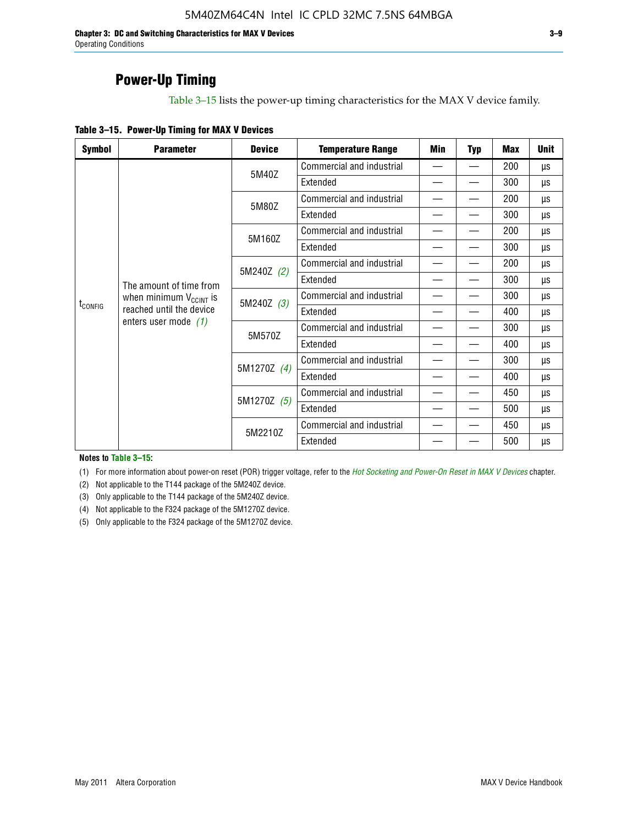**Chapter 3: DC and Switching Characteristics for MAX V Devices 3–9** Operating Conditions

### **Power-Up Timing**

Table 3–15 lists the power-up timing characteristics for the MAX V device family.

| Table 3-15. Power-Up Timing for MAX V Devices |  |  |  |  |  |
|-----------------------------------------------|--|--|--|--|--|
|-----------------------------------------------|--|--|--|--|--|

| <b>Symbol</b>                                                                   | <b>Parameter</b>                                                 | <b>Device</b>             | <b>Temperature Range</b>  | Min                      | <b>Typ</b> | <b>Max</b> | <b>Unit</b> |
|---------------------------------------------------------------------------------|------------------------------------------------------------------|---------------------------|---------------------------|--------------------------|------------|------------|-------------|
|                                                                                 |                                                                  | 5M40Z                     | Commercial and industrial | $\overline{\phantom{0}}$ |            | 200        | μs          |
|                                                                                 |                                                                  |                           | Extended                  |                          |            | 300        | μs          |
|                                                                                 |                                                                  | 5M80Z                     | Commercial and industrial |                          |            | 200        | μs          |
|                                                                                 |                                                                  |                           | Extended                  |                          |            | 300        | μs          |
|                                                                                 |                                                                  | 5M160Z                    | Commercial and industrial |                          |            | 200        | μs          |
|                                                                                 |                                                                  |                           | Extended                  |                          |            | 300        | μs          |
|                                                                                 |                                                                  | 5M240Z (2)                | Commercial and industrial |                          |            | 200        | μs          |
| The amount of time from<br>when minimum $V_{C C INT}$ is<br>t <sub>config</sub> |                                                                  |                           | Extended                  |                          |            | 300        | μs          |
|                                                                                 |                                                                  | Commercial and industrial |                           |                          | 300        | μs         |             |
|                                                                                 | 5M240Z (3)<br>reached until the device<br>enters user mode $(1)$ | Extended                  | $\overline{\phantom{0}}$  |                          | 400        | μs         |             |
|                                                                                 |                                                                  | 5M570Z                    | Commercial and industrial |                          |            | 300        | μs          |
|                                                                                 |                                                                  |                           | Extended                  |                          |            | 400        | μs          |
|                                                                                 |                                                                  | 5M1270Z (4)               | Commercial and industrial |                          |            | 300        | μs          |
|                                                                                 |                                                                  |                           | Extended                  |                          |            | 400        | μs          |
|                                                                                 |                                                                  | 5M1270Z (5)               | Commercial and industrial |                          |            | 450        | μs          |
|                                                                                 |                                                                  |                           | Extended                  |                          |            | 500        | μs          |
|                                                                                 |                                                                  | 5M2210Z                   | Commercial and industrial |                          |            | 450        | μs          |
|                                                                                 |                                                                  |                           | Extended                  |                          |            | 500        | μs          |

**Notes to Table 3–15:**

(1) For more information about power-on reset (POR) trigger voltage, refer to the *[Hot Socketing and Power-On Reset in MAX V Devices](http://www.altera.com/literature/hb/max-v/mv51004.pdf)* chapter.

(2) Not applicable to the T144 package of the 5M240Z device.

(3) Only applicable to the T144 package of the 5M240Z device.

(4) Not applicable to the F324 package of the 5M1270Z device.

(5) Only applicable to the F324 package of the 5M1270Z device.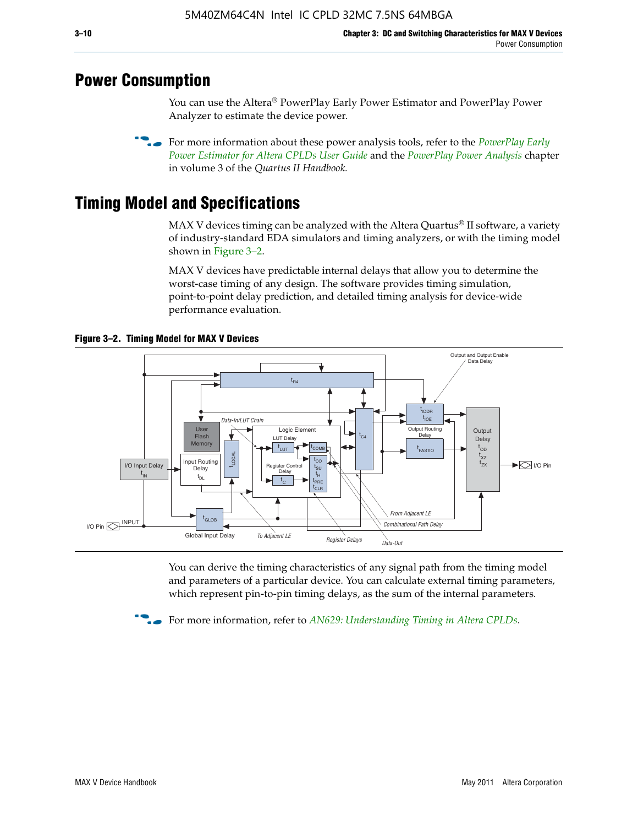### **Power Consumption**

You can use the Altera® PowerPlay Early Power Estimator and PowerPlay Power Analyzer to estimate the device power.

**For more information about these power analysis tools, refer to the** *PowerPlay Early**[Power Estimator for Altera CPLDs User Guide](http://www.altera.com/literature/ug/ug_epe_cpld.pdf)* and the *[PowerPlay Power Analysis](http://www.altera.com/literature/hb/qts/qts_qii53013.pdf)* chapter in volume 3 of the *Quartus II Handbook.*

# **Timing Model and Specifications**

MAX V devices timing can be analyzed with the Altera Quartus<sup>®</sup> II software, a variety of industry-standard EDA simulators and timing analyzers, or with the timing model shown in Figure 3–2.

MAX V devices have predictable internal delays that allow you to determine the worst-case timing of any design. The software provides timing simulation, point-to-point delay prediction, and detailed timing analysis for device-wide performance evaluation.



**Figure 3–2. Timing Model for MAX V Devices**

You can derive the timing characteristics of any signal path from the timing model and parameters of a particular device. You can calculate external timing parameters, which represent pin-to-pin timing delays, as the sum of the internal parameters.

**For more information, refer to** *[AN629: Understanding Timing in Altera CPLDs](http://www.altera.com/literature/an/an629.pdf)***.**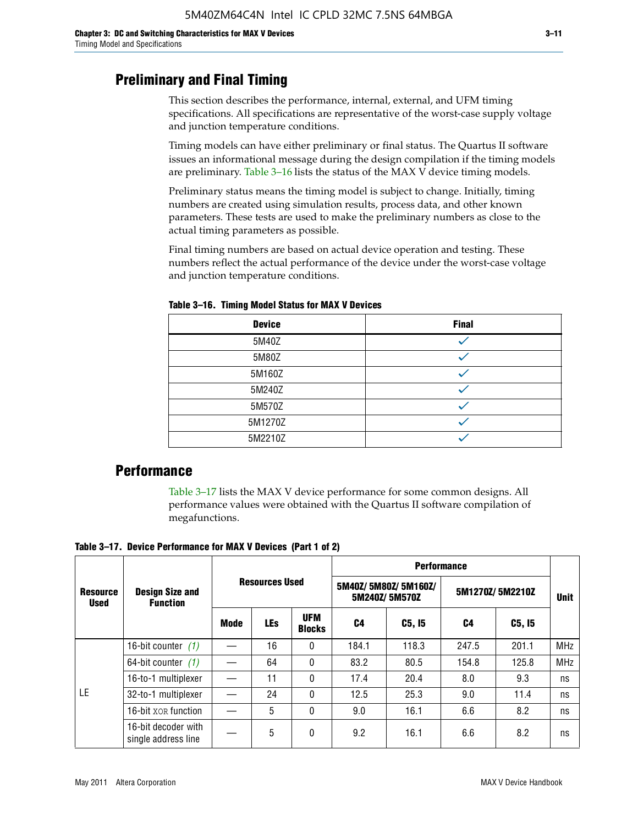### **Preliminary and Final Timing**

This section describes the performance, internal, external, and UFM timing specifications. All specifications are representative of the worst-case supply voltage and junction temperature conditions.

Timing models can have either preliminary or final status. The Quartus II software issues an informational message during the design compilation if the timing models are preliminary. Table 3–16 lists the status of the MAX V device timing models.

Preliminary status means the timing model is subject to change. Initially, timing numbers are created using simulation results, process data, and other known parameters. These tests are used to make the preliminary numbers as close to the actual timing parameters as possible.

Final timing numbers are based on actual device operation and testing. These numbers reflect the actual performance of the device under the worst-case voltage and junction temperature conditions.

| <b>Device</b> | <b>Final</b> |
|---------------|--------------|
| 5M40Z         |              |
| 5M80Z         |              |
| 5M160Z        |              |
| 5M240Z        |              |
| 5M570Z        |              |
| 5M1270Z       |              |
| 5M2210Z       |              |

**Table 3–16. Timing Model Status for MAX V Devices**

### **Performance**

Table 3–17 lists the MAX V device performance for some common designs. All performance values were obtained with the Quartus II software compilation of megafunctions.

**Table 3–17. Device Performance for MAX V Devices (Part 1 of 2)**

|                                |                                            |                       | <b>Performance</b> |                             |       |                                      |       |                 |             |
|--------------------------------|--------------------------------------------|-----------------------|--------------------|-----------------------------|-------|--------------------------------------|-------|-----------------|-------------|
| <b>Resource</b><br><b>Used</b> | <b>Design Size and</b><br><b>Function</b>  | <b>Resources Used</b> |                    |                             |       | 5M40Z/5M80Z/5M160Z/<br>5M240Z/5M570Z |       | 5M1270Z/5M2210Z | <b>Unit</b> |
|                                |                                            | Mode                  | <b>LEs</b>         | <b>UFM</b><br><b>Blocks</b> | C4    | C5, I5                               | C4    | C5, I5          |             |
|                                | 16-bit counter $(1)$                       |                       | 16                 | 0                           | 184.1 | 118.3                                | 247.5 | 201.1           | <b>MHz</b>  |
|                                | 64-bit counter $(1)$                       |                       | 64                 | 0                           | 83.2  | 80.5                                 | 154.8 | 125.8           | <b>MHz</b>  |
|                                | 16-to-1 multiplexer                        |                       | 11                 | 0                           | 17.4  | 20.4                                 | 8.0   | 9.3             | ns          |
| LE                             | 32-to-1 multiplexer                        |                       | 24                 | 0                           | 12.5  | 25.3                                 | 9.0   | 11.4            | ns          |
|                                | 16-bit XOR function                        |                       | 5                  | 0                           | 9.0   | 16.1                                 | 6.6   | 8.2             | ns          |
|                                | 16-bit decoder with<br>single address line |                       | 5                  | 0                           | 9.2   | 16.1                                 | 6.6   | 8.2             | ns          |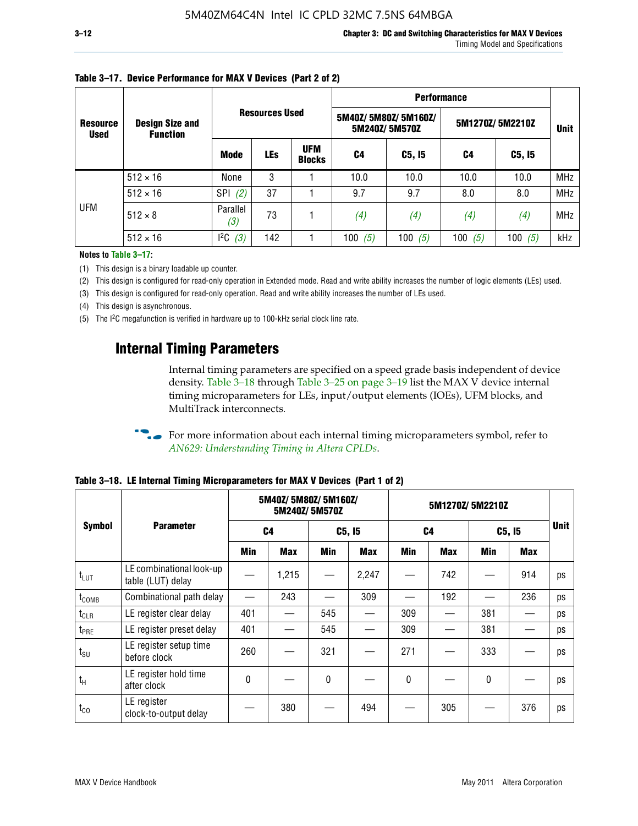|                                |                                           |                   |                       |                             | <b>Performance</b> |                                      |           |                 |            |  |  |
|--------------------------------|-------------------------------------------|-------------------|-----------------------|-----------------------------|--------------------|--------------------------------------|-----------|-----------------|------------|--|--|
| <b>Resource</b><br><b>Used</b> | <b>Design Size and</b><br><b>Function</b> |                   | <b>Resources Used</b> |                             |                    | 5M40Z/5M80Z/5M160Z/<br>5M240Z/5M570Z |           | 5M1270Z/5M2210Z |            |  |  |
|                                |                                           | <b>Mode</b>       | <b>LEs</b>            | <b>UFM</b><br><b>Blocks</b> | C4                 | C5, I5                               | C4        | C5, I5          |            |  |  |
|                                | $512 \times 16$                           | None              | 3                     |                             | 10.0               | 10.0                                 | 10.0      | 10.0            | <b>MHz</b> |  |  |
|                                | $512 \times 16$                           | <b>SPI</b><br>(2) | 37                    |                             | 9.7                | 9.7                                  | 8.0       | 8.0             | <b>MHz</b> |  |  |
| <b>UFM</b>                     | $512 \times 8$                            | Parallel<br>(3)   | 73                    |                             | (4)                | (4)                                  | (4)       | (4)             | <b>MHz</b> |  |  |
|                                | $512 \times 16$                           | $l^2C$<br>(3)     | 142                   |                             | 100<br>(5)         | 100 $(5)$                            | 100 $(5)$ | 100 $(5)$       | kHz        |  |  |

### **Table 3–17. Device Performance for MAX V Devices (Part 2 of 2)**

**Notes to Table 3–17:**

(1) This design is a binary loadable up counter.

(2) This design is configured for read-only operation in Extended mode. Read and write ability increases the number of logic elements (LEs) used.

(3) This design is configured for read-only operation. Read and write ability increases the number of LEs used.

(4) This design is asynchronous.

(5) The I2C megafunction is verified in hardware up to 100-kHz serial clock line rate.

### **Internal Timing Parameters**

Internal timing parameters are specified on a speed grade basis independent of device density. Table 3–18 through Table 3–25 on page 3–19 list the MAX V device internal timing microparameters for LEs, input/output elements (IOEs), UFM blocks, and MultiTrack interconnects.

For more information about each internal timing microparameters symbol, refer to *[AN629: Understanding Timing in Altera CPLDs](http://www.altera.com/literature/an/an629.pdf)*.

|                   |                                               |     | 5M40Z/ 5M80Z/ 5M160Z/ | 5M240Z/5M570Z |            |              | 5M1270Z/5M2210Z |     |        |             |
|-------------------|-----------------------------------------------|-----|-----------------------|---------------|------------|--------------|-----------------|-----|--------|-------------|
| <b>Symbol</b>     | <b>Parameter</b>                              |     | C <sub>4</sub>        |               | C5, I5     |              | C <sub>4</sub>  |     | C5, I5 | <b>Unit</b> |
|                   |                                               | Min | Max                   | Min           | <b>Max</b> | Min          | <b>Max</b>      | Min | Max    |             |
| $t_{LUT}$         | LE combinational look-up<br>table (LUT) delay |     | 1,215                 |               | 2,247      |              | 742             |     | 914    | ps          |
| t <sub>comb</sub> | Combinational path delay                      |     | 243                   |               | 309        |              | 192             |     | 236    | ps          |
| $t_{CLR}$         | LE register clear delay                       | 401 |                       | 545           |            | 309          |                 | 381 |        | ps          |
| t <sub>PRE</sub>  | LE register preset delay                      | 401 |                       | 545           |            | 309          |                 | 381 |        | ps          |
| $t_{\text{SU}}$   | LE register setup time<br>before clock        | 260 |                       | 321           |            | 271          |                 | 333 |        | ps          |
| $t_{H}$           | LE register hold time<br>after clock          | 0   |                       | $\mathbf{0}$  |            | $\mathbf{0}$ |                 | 0   |        | ps          |
| $t_{CO}$          | LE register<br>clock-to-output delay          |     | 380                   |               | 494        |              | 305             |     | 376    | ps          |

**Table 3–18. LE Internal Timing Microparameters for MAX V Devices (Part 1 of 2)**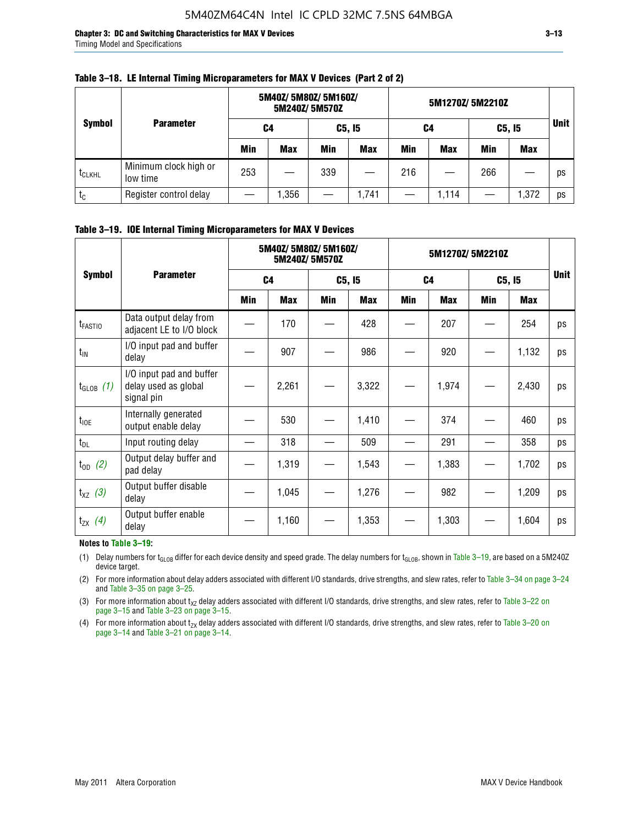**Chapter 3: DC and Switching Characteristics for MAX V Devices 3–13** Timing Model and Specifications

|                    |                                   | 5M40Z/ 5M80Z/ 5M160Z/<br>5M240Z/5M570Z |            |     |            |     | 5M1270Z/5M2210Z |     |        |             |
|--------------------|-----------------------------------|----------------------------------------|------------|-----|------------|-----|-----------------|-----|--------|-------------|
| <b>Symbol</b>      | <b>Parameter</b>                  | C4                                     |            |     | C5, I5     | C4  |                 |     | C5, I5 | <b>Unit</b> |
|                    |                                   | Min                                    | <b>Max</b> | Min | <b>Max</b> | Min | <b>Max</b>      | Min | Max    |             |
| t <sub>CLKHL</sub> | Minimum clock high or<br>low time | 253                                    |            | 339 |            | 216 |                 | 266 |        | ps          |
| $t_{\rm C}$        | Register control delay            |                                        | ,356       |     | 1,741      |     | 1,114           |     | 1,372  | ps          |

#### **Table 3–18. LE Internal Timing Microparameters for MAX V Devices (Part 2 of 2)**

### **Table 3–19. IOE Internal Timing Microparameters for MAX V Devices**

|                     |                                                                |     | 5M40Z/ 5M80Z/ 5M160Z/ | 5M240Z/5M570Z | 5M1270Z/5M2210Z |     |                |            |            |             |
|---------------------|----------------------------------------------------------------|-----|-----------------------|---------------|-----------------|-----|----------------|------------|------------|-------------|
| <b>Symbol</b>       | <b>Parameter</b>                                               |     | C <sub>4</sub>        |               | C5, I5          |     | C <sub>4</sub> |            | C5, I5     | <b>Unit</b> |
|                     |                                                                | Min | Max                   | <b>Min</b>    | Max             | Min | <b>Max</b>     | <b>Min</b> | <b>Max</b> |             |
| t <sub>FASTIO</sub> | Data output delay from<br>adjacent LE to I/O block             |     | 170                   |               | 428             |     | 207            |            | 254        | ps          |
| $t_{IN}$            | I/O input pad and buffer<br>delay                              |     | 907                   |               | 986             |     | 920            |            | 1,132      | ps          |
| $t_{GLOB}$ (1)      | I/O input pad and buffer<br>delay used as global<br>signal pin |     | 2,261                 |               | 3,322           |     | 1,974          |            | 2,430      | ps          |
| $t_{10E}$           | Internally generated<br>output enable delay                    |     | 530                   |               | 1,410           |     | 374            |            | 460        | ps          |
| $t_{DL}$            | Input routing delay                                            |     | 318                   |               | 509             |     | 291            |            | 358        | ps          |
| $t_{OD}$ (2)        | Output delay buffer and<br>pad delay                           |     | 1,319                 |               | 1,543           |     | 1,383          |            | 1,702      | ps          |
| $t_{XZ}$ (3)        | Output buffer disable<br>delay                                 |     | 1,045                 |               | 1,276           |     | 982            |            | 1,209      | ps          |
| $t_{ZX}$ (4)        | Output buffer enable<br>delay                                  |     | 1,160                 |               | 1,353           |     | 1,303          |            | 1,604      | ps          |

#### **Notes to Table 3–19:**

(1) Delay numbers for t<sub>GLOB</sub> differ for each device density and speed grade. The delay numbers for t<sub>GLOB</sub>, shown in Table 3–19, are based on a 5M240Z device target.

(2) For more information about delay adders associated with different I/O standards, drive strengths, and slew rates, refer to Table 3–34 on page 3–24 and Table 3–35 on page 3–25.

(3) For more information about  $t_{XZ}$  delay adders associated with different I/O standards, drive strengths, and slew rates, refer to Table 3-22 on page 3–15 and Table 3–23 on page 3–15.

(4) For more information about t<sub>zx</sub> delay adders associated with different I/O standards, drive strengths, and slew rates, refer to Table 3–20 on<br>page 3–14 and Table 3–21 on page 3–14.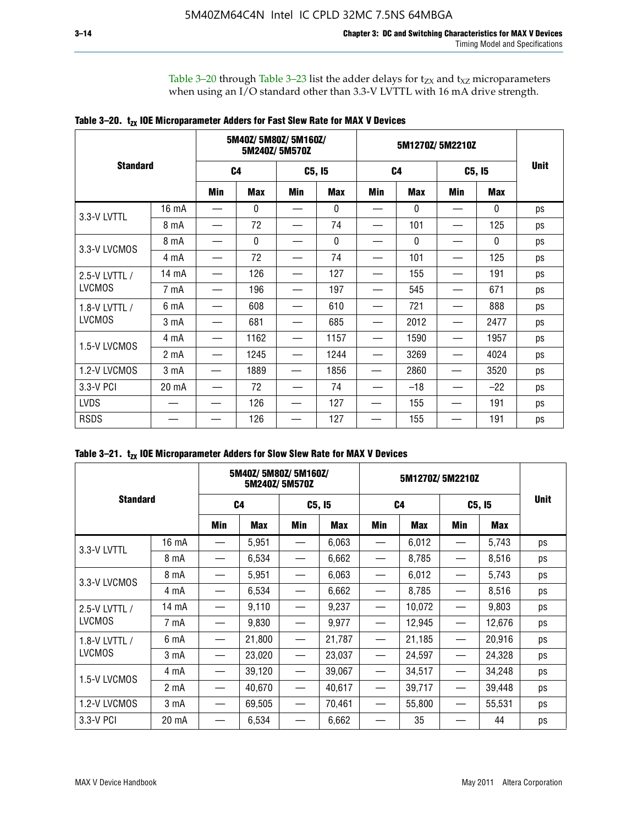Table 3–20 through Table 3–23 list the adder delays for  $t_{ZX}$  and  $t_{XZ}$  microparameters when using an I/O standard other than 3.3-V LVTTL with 16 mA drive strength.

|                 |                  |                | 5M40Z/ 5M80Z/ 5M160Z/ | 5M240Z/5M570Z |            |     | 5M1270Z/5M2210Z |     |              |             |
|-----------------|------------------|----------------|-----------------------|---------------|------------|-----|-----------------|-----|--------------|-------------|
| <b>Standard</b> |                  | C <sub>4</sub> |                       |               | C5, I5     |     | C <sub>4</sub>  |     | C5, I5       | <b>Unit</b> |
|                 |                  | Min            | <b>Max</b>            | Min           | <b>Max</b> | Min | <b>Max</b>      | Min | <b>Max</b>   |             |
| 3.3-V LVTTL     | 16 mA            |                | 0                     |               | 0          |     | $\mathbf{0}$    |     | 0            | ps          |
|                 | 8 mA             |                | 72                    |               | 74         |     | 101             |     | 125          | ps          |
| 3.3-V LVCMOS    | 8 mA             |                | $\mathbf{0}$          |               | 0          |     | $\mathbf{0}$    |     | $\mathbf{0}$ | ps          |
|                 | 4 mA             |                | 72                    |               | 74         |     | 101             |     | 125          | ps          |
| 2.5-V LVTTL /   | 14 mA            |                | 126                   |               | 127        |     | 155             |     | 191          | ps          |
| <b>LVCMOS</b>   | 7 mA             |                | 196                   |               | 197        |     | 545             |     | 671          | ps          |
| 1.8-V LVTTL /   | 6 mA             |                | 608                   |               | 610        |     | 721             |     | 888          | ps          |
| <b>LVCMOS</b>   | 3 mA             |                | 681                   |               | 685        |     | 2012            |     | 2477         | ps          |
| 1.5-V LVCMOS    | 4 mA             |                | 1162                  |               | 1157       |     | 1590            |     | 1957         | ps          |
|                 | 2 mA             |                | 1245                  |               | 1244       |     | 3269            |     | 4024         | ps          |
| 1.2-V LVCMOS    | 3 <sub>m</sub> A |                | 1889                  |               | 1856       |     | 2860            |     | 3520         | ps          |
| 3.3-V PCI       | 20 mA            |                | 72                    |               | 74         |     | $-18$           |     | $-22$        | ps          |
| <b>LVDS</b>     |                  |                | 126                   |               | 127        |     | 155             |     | 191          | ps          |
| <b>RSDS</b>     |                  |                | 126                   |               | 127        |     | 155             |     | 191          | ps          |

|                 | 5M40Z/5M80Z/5M160Z/<br>5M240Z/5M570Z |                |            |                                 |        | 5M1270Z/5M2210Z               |            |        |        |             |
|-----------------|--------------------------------------|----------------|------------|---------------------------------|--------|-------------------------------|------------|--------|--------|-------------|
| <b>Standard</b> |                                      | C <sub>4</sub> |            | C5, I5                          |        | C <sub>4</sub>                |            | C5, I5 |        | <b>Unit</b> |
|                 |                                      | Min            | <b>Max</b> | Min                             | Max    | <b>Min</b>                    | <b>Max</b> | Min    | Max    |             |
| 3.3-V LVTTL     | 16 mA                                |                | 5,951      |                                 | 6,063  |                               | 6,012      |        | 5,743  | ps          |
|                 | 8 mA                                 |                | 6,534      | $\hspace{0.1mm}-\hspace{0.1mm}$ | 6,662  | —                             | 8,785      |        | 8,516  | ps          |
| 3.3-V LVCMOS    | 8 mA                                 |                | 5,951      |                                 | 6,063  |                               | 6,012      |        | 5,743  | ps          |
|                 | 4 mA                                 |                | 6,534      |                                 | 6,662  |                               | 8,785      |        | 8,516  | ps          |
| 2.5-V LVTTL /   | $14 \text{ mA}$                      |                | 9,110      |                                 | 9,237  |                               | 10,072     |        | 9,803  | ps          |
| <b>LVCMOS</b>   | 7 mA                                 |                | 9,830      | —                               | 9,977  | —                             | 12,945     |        | 12,676 | ps          |
| 1.8-V LVTTL /   | 6 mA                                 |                | 21,800     |                                 | 21,787 |                               | 21,185     |        | 20,916 | ps          |
| <b>LVCMOS</b>   | 3 mA                                 |                | 23,020     | $\hspace{0.05cm}$               | 23,037 | $\overbrace{\phantom{12333}}$ | 24,597     |        | 24,328 | ps          |
| 1.5-V LVCMOS    | 4 mA                                 |                | 39,120     |                                 | 39,067 |                               | 34,517     |        | 34,248 | ps          |
|                 | 2 mA                                 |                | 40,670     |                                 | 40,617 |                               | 39,717     |        | 39,448 | ps          |
| 1.2-V LVCMOS    | 3 <sub>m</sub> A                     |                | 69,505     |                                 | 70,461 |                               | 55,800     |        | 55,531 | ps          |
| 3.3-V PCI       | 20 mA                                |                | 6,534      |                                 | 6,662  |                               | 35         |        | 44     | ps          |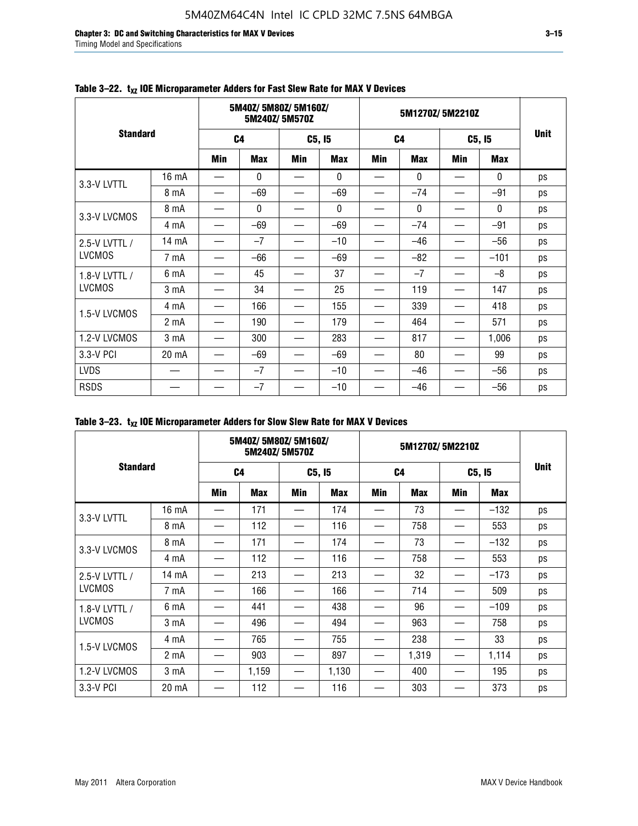**Chapter 3: DC and Switching Characteristics for MAX V Devices 3–15** Timing Model and Specifications

|                 | 5M40Z/5M80Z/5M160Z/<br>5M240Z/5M570Z |                |              |            |            | 5M1270Z/5M2210Z |              |            |              |             |
|-----------------|--------------------------------------|----------------|--------------|------------|------------|-----------------|--------------|------------|--------------|-------------|
| <b>Standard</b> |                                      | C <sub>4</sub> |              | C5, I5     |            | C <sub>4</sub>  |              | C5, I5     |              | <b>Unit</b> |
|                 |                                      | <b>Min</b>     | <b>Max</b>   | <b>Min</b> | <b>Max</b> | <b>Min</b>      | <b>Max</b>   | <b>Min</b> | <b>Max</b>   |             |
| 3.3-V LVTTL     | 16 mA                                |                | $\mathbf{0}$ |            | 0          |                 | $\mathbf{0}$ |            | $\mathbf{0}$ | ps          |
|                 | 8 mA                                 |                | $-69$        |            | $-69$      |                 | $-74$        |            | $-91$        | ps          |
| 3.3-V LVCMOS    | 8 mA                                 |                | 0            |            | 0          |                 | $\mathbf{0}$ |            | $\mathbf{0}$ | ps          |
|                 | 4 mA                                 |                | $-69$        |            | $-69$      |                 | $-74$        |            | $-91$        | ps          |
| 2.5-V LVTTL /   | 14 mA                                |                | $-7$         |            | $-10$      |                 | $-46$        |            | $-56$        | ps          |
| <b>LVCMOS</b>   | 7 mA                                 |                | -66          |            | $-69$      |                 | $-82$        |            | $-101$       | ps          |
| 1.8-V LVTTL /   | 6 mA                                 |                | 45           |            | 37         |                 | $-7$         |            | $-8$         | ps          |
| <b>LVCMOS</b>   | 3 mA                                 |                | 34           |            | 25         |                 | 119          |            | 147          | ps          |
| 1.5-V LVCMOS    | 4 mA                                 |                | 166          |            | 155        |                 | 339          |            | 418          | ps          |
|                 | 2 <sub>m</sub> A                     |                | 190          |            | 179        |                 | 464          |            | 571          | ps          |
| 1.2-V LVCMOS    | 3 <sub>m</sub> A                     |                | 300          |            | 283        |                 | 817          |            | 1,006        | ps          |
| 3.3-V PCI       | 20 mA                                |                | $-69$        |            | $-69$      |                 | 80           |            | 99           | ps          |
| <b>LVDS</b>     |                                      |                | $-7$         |            | $-10$      |                 | $-46$        |            | $-56$        | ps          |
| <b>RSDS</b>     |                                      |                | $-7$         |            | $-10$      |                 | $-46$        |            | $-56$        | ps          |

### Table 3-22. t<sub>xz</sub> IOE Microparameter Adders for Fast Slew Rate for MAX V Devices

|                 | 5M40Z/5M80Z/5M160Z/<br>5M240Z/5M570Z |                |            |        |            | 5M1270Z/5M2210Z |            |        |        |             |
|-----------------|--------------------------------------|----------------|------------|--------|------------|-----------------|------------|--------|--------|-------------|
| <b>Standard</b> |                                      | C <sub>4</sub> |            | C5, I5 |            | C <sub>4</sub>  |            | C5, I5 |        | <b>Unit</b> |
|                 |                                      | Min            | <b>Max</b> | Min    | <b>Max</b> | Min             | <b>Max</b> | Min    | Max    |             |
|                 | 16 mA                                |                | 171        | —      | 174        | —               | 73         | —      | $-132$ | ps          |
| 3.3-V LVTTL     | 8 mA                                 |                | 112        |        | 116        |                 | 758        |        | 553    | ps          |
| 3.3-V LVCMOS    | 8 mA                                 |                | 171        |        | 174        |                 | 73         |        | $-132$ | ps          |
|                 | 4 mA                                 |                | 112        |        | 116        |                 | 758        |        | 553    | ps          |
| 2.5-V LVTTL /   | 14 mA                                |                | 213        |        | 213        |                 | 32         |        | $-173$ | ps          |
| <b>LVCMOS</b>   | 7 mA                                 |                | 166        |        | 166        |                 | 714        |        | 509    | ps          |
| 1.8-V LVTTL /   | 6 mA                                 |                | 441        |        | 438        |                 | 96         |        | $-109$ | ps          |
| <b>LVCMOS</b>   | 3 mA                                 |                | 496        |        | 494        |                 | 963        |        | 758    | ps          |
| 1.5-V LVCMOS    | 4 mA                                 |                | 765        |        | 755        |                 | 238        |        | 33     | ps          |
|                 | 2 <sub>m</sub> A                     |                | 903        |        | 897        |                 | 1,319      |        | 1,114  | ps          |
| 1.2-V LVCMOS    | 3 <sub>m</sub> A                     |                | 1,159      |        | 1,130      |                 | 400        |        | 195    | ps          |
| 3.3-V PCI       | 20 mA                                |                | 112        |        | 116        |                 | 303        |        | 373    | ps          |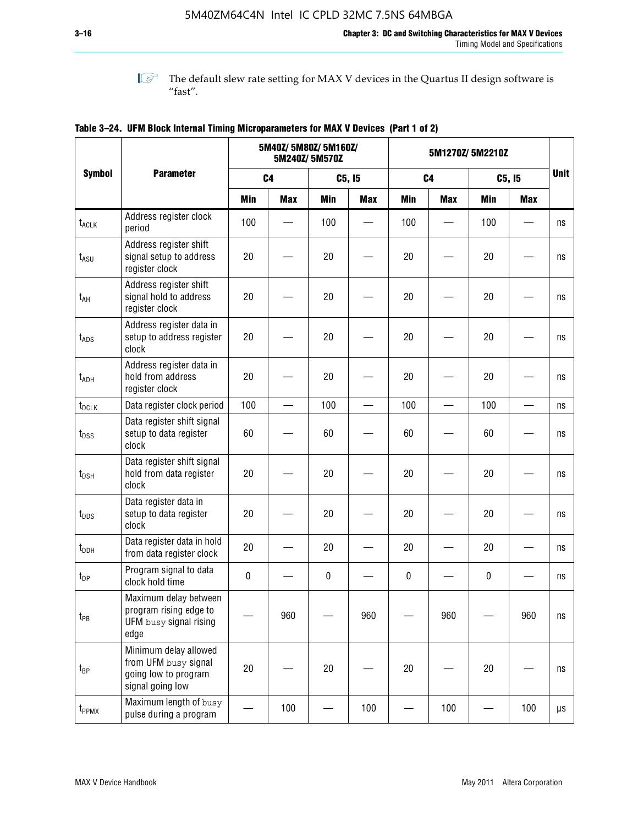**1 The default slew rate setting for MAX V devices in the Quartus II design software is**  $^{\prime\prime}$  fast".

|                    |                                                                                           |            | 5M40Z/ 5M80Z/ 5M160Z/    | 5M240Z/5M570Z |                          | 5M1270Z/5M2210Z |                          |            |            |                         |
|--------------------|-------------------------------------------------------------------------------------------|------------|--------------------------|---------------|--------------------------|-----------------|--------------------------|------------|------------|-------------------------|
| <b>Symbol</b>      | <b>Parameter</b>                                                                          |            | C <sub>4</sub>           |               | C5, I5                   |                 | C <sub>4</sub>           |            | C5, I5     | <b>Unit</b>             |
|                    |                                                                                           | <b>Min</b> | <b>Max</b>               | <b>Min</b>    | <b>Max</b>               | <b>Min</b>      | <b>Max</b>               | <b>Min</b> | <b>Max</b> |                         |
| t <sub>ACLK</sub>  | Address register clock<br>period                                                          | 100        |                          | 100           |                          | 100             |                          | 100        |            | ns                      |
| $t_{ASU}$          | Address register shift<br>signal setup to address<br>register clock                       | 20         |                          | 20            |                          | 20              |                          | 20         |            | ns                      |
| $t_{AH}$           | Address register shift<br>signal hold to address<br>register clock                        | 20         |                          | 20            |                          | 20              |                          | 20         |            | ns                      |
| $t_{\mathsf{ADS}}$ | Address register data in<br>setup to address register<br>clock                            | 20         |                          | 20            |                          | 20              |                          | 20         |            | ns                      |
| t <sub>ADH</sub>   | Address register data in<br>hold from address<br>register clock                           | 20         |                          | 20            |                          | 20              |                          | 20         |            | ns                      |
| t <sub>DCLK</sub>  | Data register clock period                                                                | 100        | $\overline{\phantom{0}}$ | 100           | $\overline{\phantom{0}}$ | 100             | $\overline{\phantom{0}}$ | 100        |            | ns                      |
| $t_{DSS}$          | Data register shift signal<br>setup to data register<br>clock                             | 60         |                          | 60            |                          | 60              |                          | 60         |            | ns                      |
| $t_{DSH}$          | Data register shift signal<br>hold from data register<br>clock                            | 20         |                          | 20            |                          | 20              |                          | 20         |            | ns                      |
| $t_{\text{DDS}}$   | Data register data in<br>setup to data register<br>clock                                  | 20         |                          | 20            |                          | 20              |                          | 20         |            | ns                      |
| $t_{DDH}$          | Data register data in hold<br>from data register clock                                    | 20         |                          | 20            |                          | 20              |                          | 20         |            | ns                      |
| $t_{DP}$           | Program signal to data<br>clock hold time                                                 | $\pmb{0}$  |                          | 0             |                          | 0               |                          | 0          |            | ns                      |
| $t_{PB}$           | Maximum delay between<br>program rising edge to<br>UFM busy signal rising<br>edge         |            | 960                      |               | 960                      |                 | 960                      |            | 960        | $\operatorname{\sf ns}$ |
| $t_{\mathsf{BP}}$  | Minimum delay allowed<br>from UFM busy signal<br>going low to program<br>signal going low | 20         |                          | 20            |                          | 20              |                          | 20         |            | ns                      |
| t <sub>PPMX</sub>  | Maximum length of busy<br>pulse during a program                                          |            | 100                      |               | 100                      |                 | 100                      |            | 100        | μs                      |

### **Table 3–24. UFM Block Internal Timing Microparameters for MAX V Devices (Part 1 of 2)**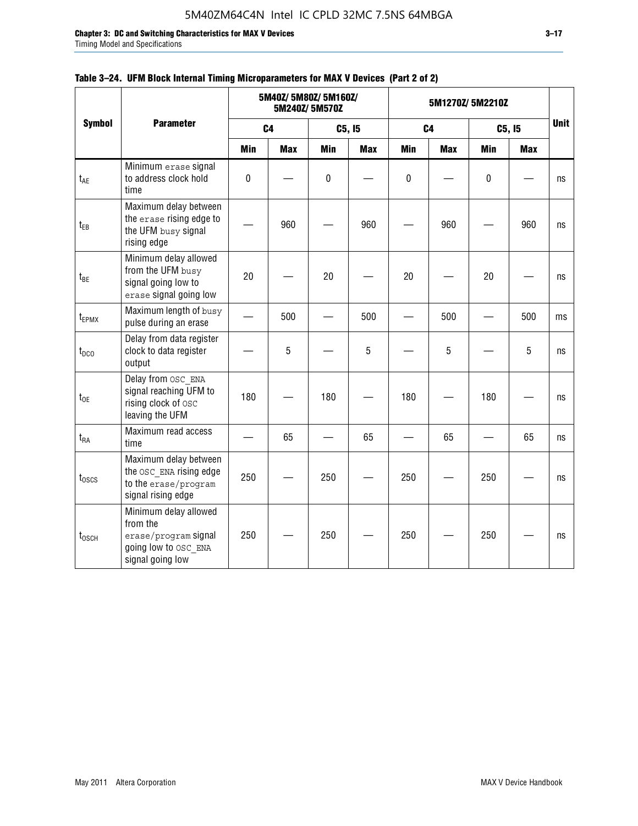**Chapter 3: DC and Switching Characteristics for MAX V Devices 3–17**

Timing Model and Specifications

|                   |                                                                                                       |                          |                | 5M40Z/ 5M80Z/ 5M160Z/<br>5M240Z/5M570Z |            |            | 5M1270Z/5M2210Z |                          |            |             |
|-------------------|-------------------------------------------------------------------------------------------------------|--------------------------|----------------|----------------------------------------|------------|------------|-----------------|--------------------------|------------|-------------|
| <b>Symbol</b>     | <b>Parameter</b>                                                                                      |                          | C <sub>4</sub> |                                        | C5, I5     |            | C <sub>4</sub>  |                          | C5, I5     | <b>Unit</b> |
|                   |                                                                                                       | Min                      | <b>Max</b>     | Min                                    | <b>Max</b> | <b>Min</b> | <b>Max</b>      | <b>Min</b>               | <b>Max</b> |             |
| t <sub>AE</sub>   | Minimum erase signal<br>to address clock hold<br>time                                                 | $\pmb{0}$                |                | $\mathbf 0$                            |            | 0          |                 | $\mathbf 0$              |            | ns          |
| $t_{EB}$          | Maximum delay between<br>the erase rising edge to<br>the UFM busy signal<br>rising edge               |                          | 960            |                                        | 960        |            | 960             |                          | 960        | ns          |
| $t_{BE}$          | Minimum delay allowed<br>from the UFM busy<br>signal going low to<br>erase signal going low           | 20                       |                | 20                                     |            | 20         |                 | 20                       |            | ns          |
| t <sub>EPMX</sub> | Maximum length of busy<br>pulse during an erase                                                       | $\overline{\phantom{0}}$ | 500            |                                        | 500        |            | 500             | $\overline{\phantom{0}}$ | 500        | ms          |
| $t_{DCO}$         | Delay from data register<br>clock to data register<br>output                                          |                          | 5              |                                        | 5          |            | 5               |                          | 5          | ns          |
| $t_{OE}$          | Delay from OSC ENA<br>signal reaching UFM to<br>rising clock of osc<br>leaving the UFM                | 180                      |                | 180                                    |            | 180        |                 | 180                      |            | ns          |
| $t_{RA}$          | Maximum read access<br>time                                                                           |                          | 65             |                                        | 65         |            | 65              |                          | 65         | ns          |
| $t_{\rm 0SCS}$    | Maximum delay between<br>the OSC ENA rising edge<br>to the erase/program<br>signal rising edge        | 250                      |                | 250                                    |            | 250        |                 | 250                      |            | ns          |
| $t_{\rm 0SCH}$    | Minimum delay allowed<br>from the<br>erase/program signal<br>going low to OSC ENA<br>signal going low | 250                      |                | 250                                    |            | 250        |                 | 250                      |            | ns          |

### **Table 3–24. UFM Block Internal Timing Microparameters for MAX V Devices (Part 2 of 2)**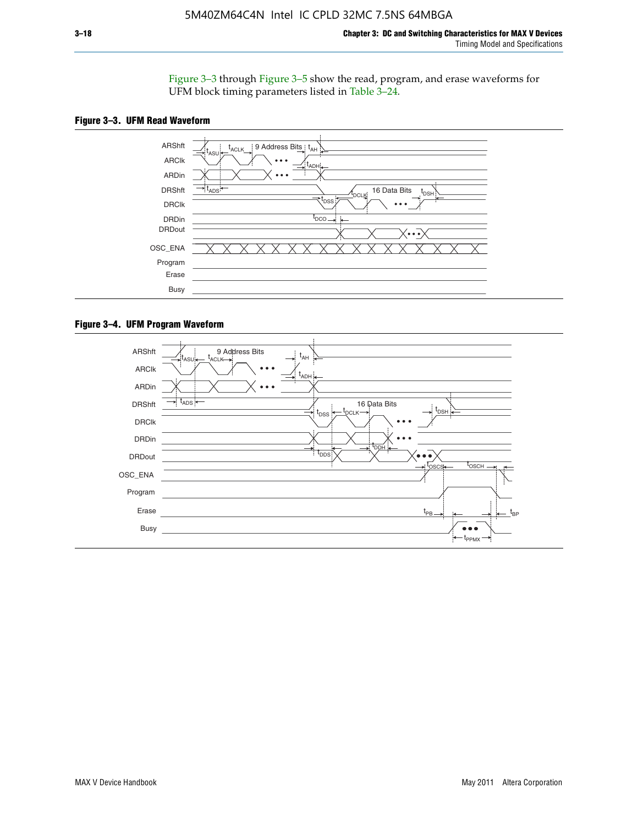Figure 3–3 through Figure 3–5 show the read, program, and erase waveforms for UFM block timing parameters listed in Table 3–24.





#### **Figure 3–4. UFM Program Waveform**

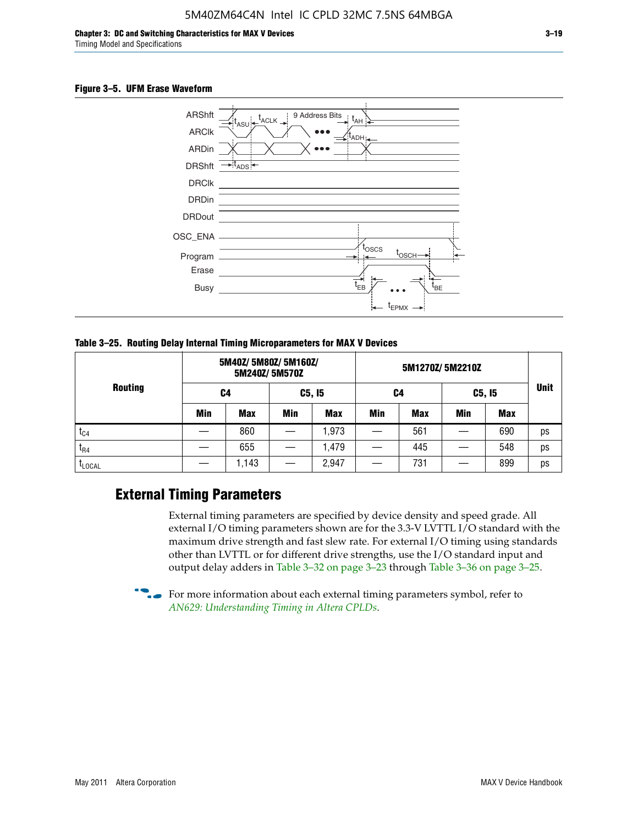#### **Figure 3–5. UFM Erase Waveform**



**Table 3–25. Routing Delay Internal Timing Microparameters for MAX V Devices**

| <b>Routing</b> |     | 5M40Z/ 5M80Z/ 5M160Z/ | 5M240Z/5M570Z |            |     |     |            |            |             |
|----------------|-----|-----------------------|---------------|------------|-----|-----|------------|------------|-------------|
|                | C4  |                       | C5, I5        |            | C4  |     | C5, I5     |            | <b>Unit</b> |
|                | Min | <b>Max</b>            | <b>Min</b>    | <b>Max</b> | Min | Max | <b>Min</b> | <b>Max</b> |             |
| $t_{C4}$       |     | 860                   |               | ,973       |     | 561 |            | 690        | ps          |
| $I_{R4}$       |     | 655                   |               | .479       |     | 445 |            | 548        | ps          |
| <b>LLOCAL</b>  |     | 1,143                 |               | 2,947      |     | 731 |            | 899        | ps          |

### **External Timing Parameters**

External timing parameters are specified by device density and speed grade. All external I/O timing parameters shown are for the 3.3-V LVTTL I/O standard with the maximum drive strength and fast slew rate. For external I/O timing using standards other than LVTTL or for different drive strengths, use the I/O standard input and output delay adders in Table 3–32 on page 3–23 through Table 3–36 on page 3–25.

 $\bullet$  For more information about each external timing parameters symbol, refer to *[AN629: Understanding Timing in Altera CPLDs](http://www.altera.com/literature/an/an629.pdf)*.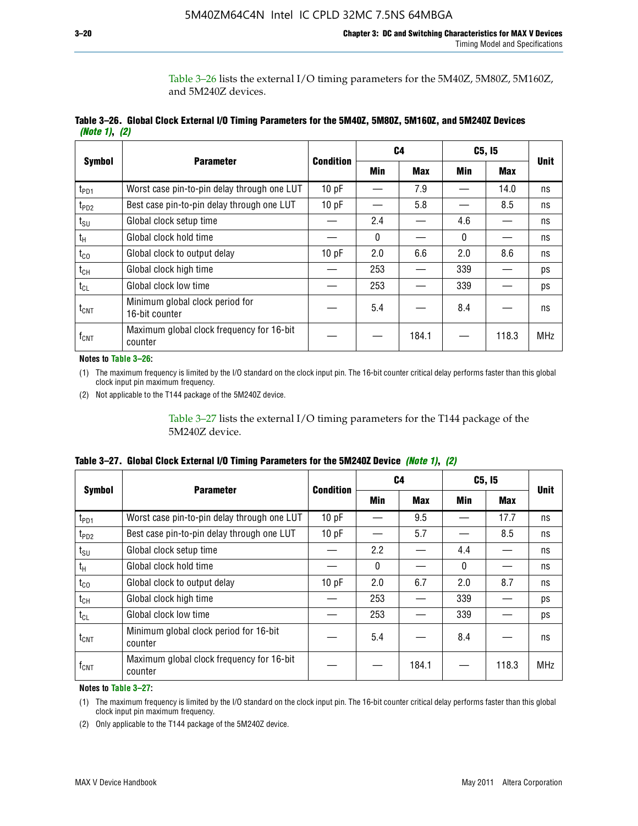Table 3–26 lists the external I/O timing parameters for the 5M40Z, 5M80Z, 5M160Z, and 5M240Z devices.

|               | Table 3–26. Global Clock External I/O Timing Parameters for the 5M40Z, 5M80Z, 5M160Z, and 5M240Z Devices |  |  |
|---------------|----------------------------------------------------------------------------------------------------------|--|--|
| (Note 1), (2) |                                                                                                          |  |  |

| <b>Symbol</b>    |                                                      | <b>Condition</b> |              | C <sub>4</sub> |          | C5, I5     | <b>Unit</b> |
|------------------|------------------------------------------------------|------------------|--------------|----------------|----------|------------|-------------|
|                  | <b>Parameter</b>                                     |                  | <b>Min</b>   | <b>Max</b>     | Min      | <b>Max</b> |             |
| t <sub>PD1</sub> | Worst case pin-to-pin delay through one LUT          | 10pF             |              | 7.9            |          | 14.0       | ns          |
| t <sub>PD2</sub> | Best case pin-to-pin delay through one LUT           | 10pF             |              | 5.8            |          | 8.5        | ns          |
| $t_{\text{SU}}$  | Global clock setup time                              |                  | 2.4          |                | 4.6      |            | ns          |
| $t_{H}$          | Global clock hold time                               |                  | $\mathbf{0}$ |                | $\Omega$ |            | ns          |
| $t_{CO}$         | Global clock to output delay                         | 10pF             | 2.0          | 6.6            | 2.0      | 8.6        | ns          |
| $t_{CH}$         | Global clock high time                               |                  | 253          |                | 339      |            | ps          |
| $t_{CL}$         | Global clock low time                                |                  | 253          |                | 339      |            | ps          |
| $t_{\text{CNT}}$ | Minimum global clock period for<br>16-bit counter    |                  | 5.4          |                | 8.4      |            | ns          |
| $f_{CNT}$        | Maximum global clock frequency for 16-bit<br>counter |                  |              | 184.1          |          | 118.3      | <b>MHz</b>  |

**Notes to Table 3–26:**

(1) The maximum frequency is limited by the I/O standard on the clock input pin. The 16-bit counter critical delay performs faster than this global clock input pin maximum frequency.

(2) Not applicable to the T144 package of the 5M240Z device.

Table 3–27 lists the external I/O timing parameters for the T144 package of the 5M240Z device.

|  | Table 3–27. Global Clock External I/O Timing Parameters for the 5M240Z Device <i>(Note 1), (2)</i> |  |  |  |  |
|--|----------------------------------------------------------------------------------------------------|--|--|--|--|
|--|----------------------------------------------------------------------------------------------------|--|--|--|--|

|                    |                                                      | <b>Condition</b> |          | C <sub>4</sub> |          | C5, I5     | <b>Unit</b> |  |
|--------------------|------------------------------------------------------|------------------|----------|----------------|----------|------------|-------------|--|
| <b>Symbol</b>      | <b>Parameter</b>                                     |                  | Min      | <b>Max</b>     | Min      | <b>Max</b> |             |  |
| t <sub>PD1</sub>   | Worst case pin-to-pin delay through one LUT          | 10 pF            |          | 9.5            |          | 17.7       | ns          |  |
| t <sub>PD2</sub>   | Best case pin-to-pin delay through one LUT           | 10pF             |          | 5.7            |          | 8.5        | ns          |  |
| $t_{\text{SU}}$    | Global clock setup time                              |                  | 2.2      |                | 4.4      |            | ns          |  |
| $t_{\rm H}$        | Global clock hold time                               |                  | $\Omega$ |                | $\Omega$ |            | ns          |  |
| $t_{CO}$           | Global clock to output delay                         | 10pF             | 2.0      | 6.7            | 2.0      | 8.7        | ns          |  |
| t <sub>CH</sub>    | Global clock high time                               |                  | 253      |                | 339      |            | ps          |  |
| $t_{CL}$           | Global clock low time                                |                  | 253      |                | 339      |            | ps          |  |
| $t_{\text{CNT}}$   | Minimum global clock period for 16-bit<br>counter    |                  | 5.4      |                | 8.4      |            | ns          |  |
| $f_{\mathsf{CNT}}$ | Maximum global clock frequency for 16-bit<br>counter |                  |          | 184.1          |          | 118.3      | <b>MHz</b>  |  |

**Notes to Table 3–27:**

(1) The maximum frequency is limited by the I/O standard on the clock input pin. The 16-bit counter critical delay performs faster than this global clock input pin maximum frequency.

(2) Only applicable to the T144 package of the 5M240Z device.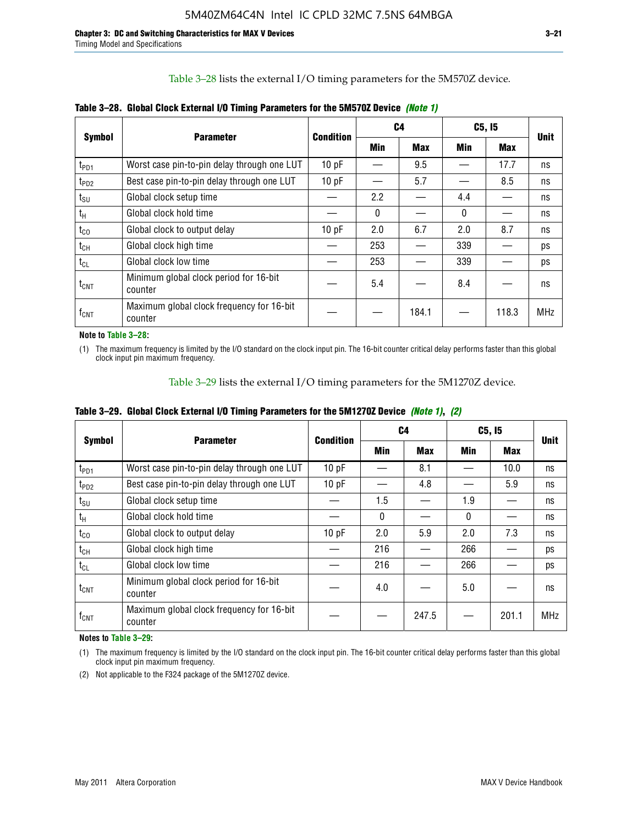Table 3–28 lists the external I/O timing parameters for the 5M570Z device.

| <b>Symbol</b>      | <b>Parameter</b>                                     | <b>Condition</b> |              | C4         |              | C5, I5     | <b>Unit</b> |
|--------------------|------------------------------------------------------|------------------|--------------|------------|--------------|------------|-------------|
|                    |                                                      |                  | <b>Min</b>   | <b>Max</b> | Min          | <b>Max</b> |             |
| t <sub>PD1</sub>   | Worst case pin-to-pin delay through one LUT          | 10 pF            |              | 9.5        |              | 17.7       | ns          |
| $t_{PD2}$          | Best case pin-to-pin delay through one LUT           | 10pF             |              | 5.7        |              | 8.5        | ns          |
| $t_{\text{SU}}$    | Global clock setup time                              |                  | 2.2          |            | 4.4          |            | ns          |
| $t_{H}$            | Global clock hold time                               |                  | $\mathbf{0}$ |            | $\mathbf{0}$ |            | ns          |
| $t_{CO}$           | Global clock to output delay                         | 10pF             | 2.0          | 6.7        | 2.0          | 8.7        | ns          |
| $t_{CH}$           | Global clock high time                               |                  | 253          |            | 339          |            | ps          |
| $t_{CL}$           | Global clock low time                                |                  | 253          |            | 339          |            | ps          |
| $t_{\text{CNT}}$   | Minimum global clock period for 16-bit<br>counter    |                  | 5.4          |            | 8.4          |            | ns          |
| $f_{\mathsf{CNT}}$ | Maximum global clock frequency for 16-bit<br>counter |                  |              | 184.1      |              | 118.3      | <b>MHz</b>  |

**Table 3–28. Global Clock External I/O Timing Parameters for the 5M570Z Device** *(Note 1)*

**Note to Table 3–28:**

(1) The maximum frequency is limited by the I/O standard on the clock input pin. The 16-bit counter critical delay performs faster than this global clock input pin maximum frequency.

Table 3–29 lists the external I/O timing parameters for the 5M1270Z device.

|  |  | Table 3–29. Global Clock External I/O Timing Parameters for the 5M1270Z Device <i>(Note 1)</i> , (2) |  |  |
|--|--|------------------------------------------------------------------------------------------------------|--|--|
|--|--|------------------------------------------------------------------------------------------------------|--|--|

|                             |                                                      |           |            | C4         | C5, I5   | <b>Unit</b> |            |
|-----------------------------|------------------------------------------------------|-----------|------------|------------|----------|-------------|------------|
| <b>Symbol</b>               | <b>Parameter</b>                                     | Condition | <b>Min</b> | <b>Max</b> | Min      | Max         |            |
| $t_{PD1}$                   | Worst case pin-to-pin delay through one LUT          | 10pF      |            | 8.1        |          | 10.0        | ns         |
| $t_{PD2}$                   | Best case pin-to-pin delay through one LUT           | 10pF      |            | 4.8        |          | 5.9         | ns         |
| $t_{\scriptstyle\text{SU}}$ | Global clock setup time                              |           | 1.5        |            | 1.9      |             | ns         |
| $t_{\rm H}$                 | Global clock hold time                               |           | $\Omega$   |            | $\Omega$ |             | ns         |
| $t_{CO}$                    | Global clock to output delay                         | 10pF      | 2.0        | 5.9        | 2.0      | 7.3         | ns         |
| $t_{CH}$                    | Global clock high time                               |           | 216        |            | 266      |             | ps         |
| $t_{CL}$                    | Global clock low time                                |           | 216        |            | 266      |             | ps         |
| $t_{\text{CNT}}$            | Minimum global clock period for 16-bit<br>counter    |           | 4.0        |            | 5.0      |             | ns         |
| $\mathsf{f}_{\mathsf{CNT}}$ | Maximum global clock frequency for 16-bit<br>counter |           |            | 247.5      |          | 201.1       | <b>MHz</b> |

**Notes to Table 3–29:**

(1) The maximum frequency is limited by the I/O standard on the clock input pin. The 16-bit counter critical delay performs faster than this global clock input pin maximum frequency.

(2) Not applicable to the F324 package of the 5M1270Z device.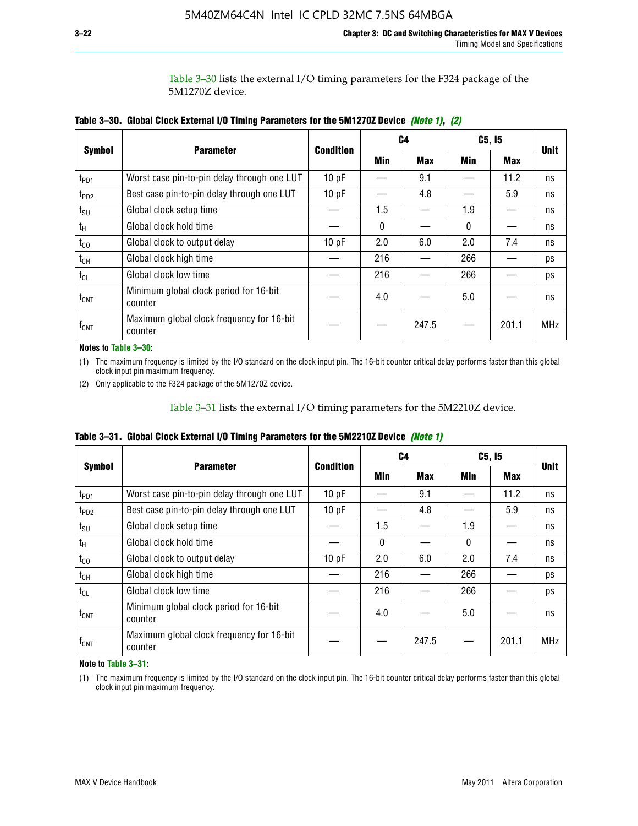Table 3–30 lists the external I/O timing parameters for the F324 package of the 5M1270Z device.

| <b>Symbol</b>    |                                                      | <b>Condition</b> |     | C <sub>4</sub> | C5, I5 | <b>Unit</b> |            |
|------------------|------------------------------------------------------|------------------|-----|----------------|--------|-------------|------------|
|                  | <b>Parameter</b>                                     |                  | Min | <b>Max</b>     | Min    | <b>Max</b>  |            |
| t <sub>PD1</sub> | Worst case pin-to-pin delay through one LUT          | 10pF             |     | 9.1            |        | 11.2        | ns         |
| t <sub>PD2</sub> | Best case pin-to-pin delay through one LUT           | 10pF             |     | 4.8            |        | 5.9         | ns         |
| $t_{\text{SU}}$  | Global clock setup time                              |                  | 1.5 |                | 1.9    |             | ns         |
| $t_{H}$          | Global clock hold time                               |                  | 0   |                | 0      |             | ns         |
| $t_{CO}$         | Global clock to output delay                         | 10pF             | 2.0 | 6.0            | 2.0    | 7.4         | ns         |
| $t_{CH}$         | Global clock high time                               |                  | 216 |                | 266    |             | ps         |
| $t_{CL}$         | Global clock low time                                |                  | 216 |                | 266    |             | ps         |
| $t_{\text{CNT}}$ | Minimum global clock period for 16-bit<br>counter    |                  | 4.0 |                | 5.0    |             | ns         |
| $f_{\text{CNT}}$ | Maximum global clock frequency for 16-bit<br>counter |                  |     | 247.5          |        | 201.1       | <b>MHz</b> |

**Table 3–30. Global Clock External I/O Timing Parameters for the 5M1270Z Device** *(Note 1)***,** *(2)*

**Notes to Table 3–30:**

(1) The maximum frequency is limited by the I/O standard on the clock input pin. The 16-bit counter critical delay performs faster than this global clock input pin maximum frequency.

(2) Only applicable to the F324 package of the 5M1270Z device.

Table 3–31 lists the external I/O timing parameters for the 5M2210Z device.

|  | Table 3–31. Global Clock External I/O Timing Parameters for the 5M2210Z Device <i>(Note 1)</i> |  |  |  |  |
|--|------------------------------------------------------------------------------------------------|--|--|--|--|
|--|------------------------------------------------------------------------------------------------|--|--|--|--|

|                    | <b>Parameter</b>                                     | <b>Condition</b> |          | C4         | C5, I5   |            | <b>Unit</b> |
|--------------------|------------------------------------------------------|------------------|----------|------------|----------|------------|-------------|
| <b>Symbol</b>      |                                                      |                  | Min      | <b>Max</b> | Min      | <b>Max</b> |             |
| t <sub>PD1</sub>   | Worst case pin-to-pin delay through one LUT          | 10pF             |          | 9.1        |          | 11.2       | ns          |
| t <sub>PD2</sub>   | Best case pin-to-pin delay through one LUT           | 10 pF            |          | 4.8        |          | 5.9        | ns          |
| $t_{\text{SU}}$    | Global clock setup time                              |                  | 1.5      |            | 1.9      |            | ns          |
| $t_{H}$            | Global clock hold time                               |                  | $\Omega$ |            | $\Omega$ |            | ns          |
| $t_{\rm CO}$       | Global clock to output delay                         | 10pF             | 2.0      | 6.0        | 2.0      | 7.4        | ns          |
| $t_{CH}$           | Global clock high time                               |                  | 216      |            | 266      |            | ps          |
| $t_{CL}$           | Global clock low time                                |                  | 216      |            | 266      |            | ps          |
| $t_{\text{CNT}}$   | Minimum global clock period for 16-bit<br>counter    |                  | 4.0      |            | 5.0      |            | ns          |
| $f_{\mathsf{CNT}}$ | Maximum global clock frequency for 16-bit<br>counter |                  |          | 247.5      |          | 201.1      | <b>MHz</b>  |

**Note to Table 3–31:**

(1) The maximum frequency is limited by the I/O standard on the clock input pin. The 16-bit counter critical delay performs faster than this global clock input pin maximum frequency.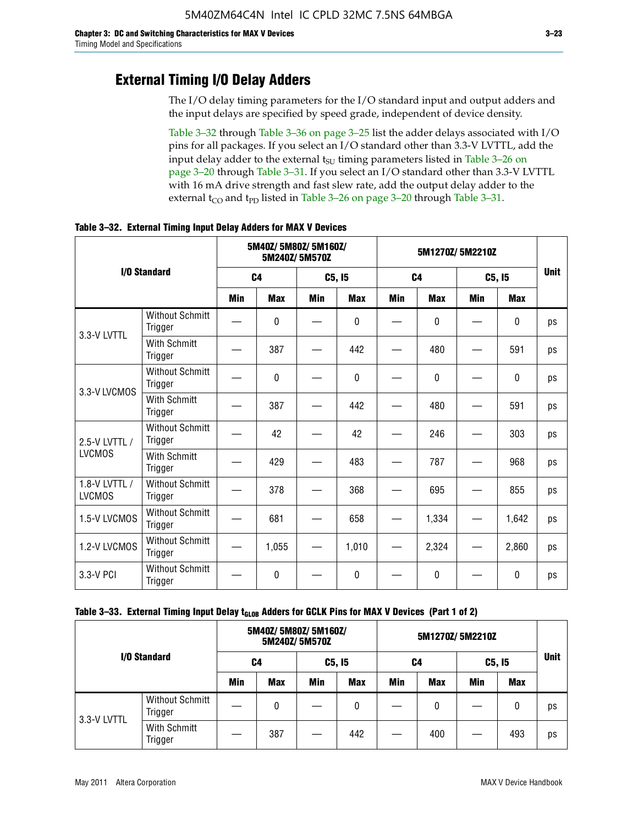### **External Timing I/O Delay Adders**

The I/O delay timing parameters for the I/O standard input and output adders and the input delays are specified by speed grade, independent of device density.

Table 3–32 through Table 3–36 on page 3–25 list the adder delays associated with I/O pins for all packages. If you select an I/O standard other than 3.3-V LVTTL, add the input delay adder to the external  $t_{\text{SU}}$  timing parameters listed in Table 3-26 on page 3–20 through Table 3–31. If you select an I/O standard other than 3.3-V LVTTL with 16 mA drive strength and fast slew rate, add the output delay adder to the external  $t_{CO}$  and  $t_{PD}$  listed in Table 3–26 on page 3–20 through Table 3–31.

|                                |                                   | 5M40Z/ 5M80Z/ 5M160Z/<br>5M240Z/5M570Z |            |            |              | 5M1270Z/5M2210Z |            |        |              |             |
|--------------------------------|-----------------------------------|----------------------------------------|------------|------------|--------------|-----------------|------------|--------|--------------|-------------|
|                                | I/O Standard                      | C <sub>4</sub>                         |            | C5, I5     |              | C <sub>4</sub>  |            | C5, I5 |              | <b>Unit</b> |
|                                |                                   | Min                                    | <b>Max</b> | <b>Min</b> | <b>Max</b>   | <b>Min</b>      | <b>Max</b> | Min    | <b>Max</b>   |             |
| 3.3-V LVTTL                    | <b>Without Schmitt</b><br>Trigger |                                        | 0          |            | $\mathbf{0}$ |                 | 0          |        | $\mathbf{0}$ | ps          |
|                                | <b>With Schmitt</b><br>Trigger    |                                        | 387        |            | 442          |                 | 480        |        | 591          | ps          |
| 3.3-V LVCMOS                   | <b>Without Schmitt</b><br>Trigger |                                        | 0          |            | $\Omega$     |                 | $\Omega$   |        | $\Omega$     | ps          |
|                                | <b>With Schmitt</b><br>Trigger    |                                        | 387        |            | 442          |                 | 480        |        | 591          | ps          |
| 2.5-V LVTTL /                  | <b>Without Schmitt</b><br>Trigger |                                        | 42         |            | 42           |                 | 246        |        | 303          | ps          |
| <b>LVCMOS</b>                  | With Schmitt<br>Trigger           |                                        | 429        |            | 483          |                 | 787        |        | 968          | ps          |
| 1.8-V LVTTL /<br><b>LVCMOS</b> | <b>Without Schmitt</b><br>Trigger |                                        | 378        |            | 368          |                 | 695        |        | 855          | ps          |
| 1.5-V LVCMOS                   | <b>Without Schmitt</b><br>Trigger |                                        | 681        |            | 658          |                 | 1,334      |        | 1,642        | ps          |
| 1.2-V LVCMOS                   | <b>Without Schmitt</b><br>Trigger |                                        | 1,055      |            | 1,010        |                 | 2,324      |        | 2,860        | ps          |
| 3.3-V PCI                      | <b>Without Schmitt</b><br>Trigger |                                        | 0          |            | $\Omega$     |                 | $\Omega$   |        | $\Omega$     | ps          |

**Table 3–32. External Timing Input Delay Adders for MAX V Devices**

| I/O Standard |                                   |            | 5M40Z/ 5M80Z/ 5M160Z/ | 5M240Z/5M570Z |            | 5M1270Z/5M2210Z |            |        |            |             |
|--------------|-----------------------------------|------------|-----------------------|---------------|------------|-----------------|------------|--------|------------|-------------|
|              |                                   | C4         |                       | C5, I5        |            | C4              |            | C5, I5 |            | <b>Unit</b> |
|              |                                   | <b>Min</b> | <b>Max</b>            | Min           | <b>Max</b> | Min             | <b>Max</b> | Min    | <b>Max</b> |             |
| 3.3-V LVTTL  | <b>Without Schmitt</b><br>Trigger |            | 0                     |               | 0          |                 | 0          |        | 0          | ps          |
|              | With Schmitt<br>Trigger           |            | 387                   |               | 442        |                 | 400        |        | 493        | ps          |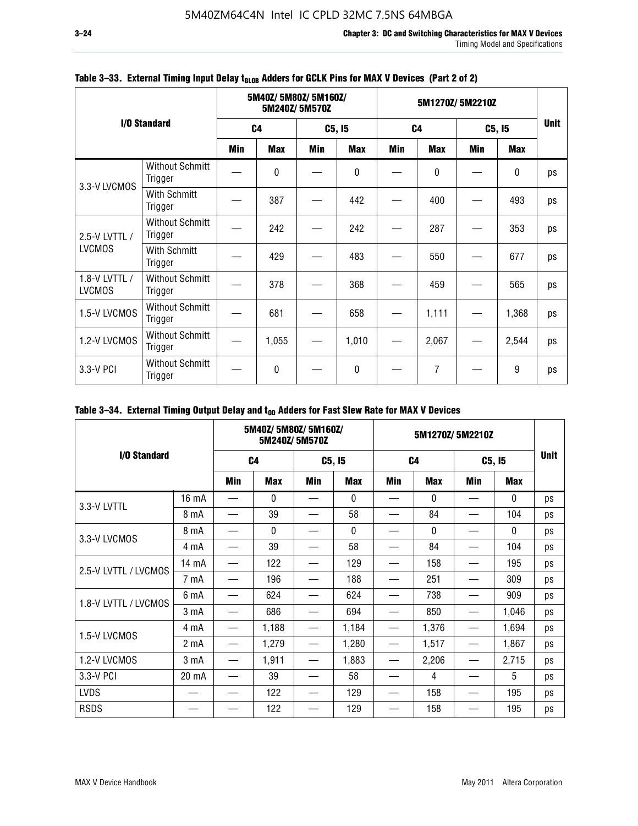|                                |                                   |     | 5M40Z/5M80Z/5M160Z/<br>5M240Z/5M570Z |        |            |                | 5M1270Z/5M2210Z |        |            |             |  |
|--------------------------------|-----------------------------------|-----|--------------------------------------|--------|------------|----------------|-----------------|--------|------------|-------------|--|
|                                | I/O Standard                      |     | C <sub>4</sub>                       | C5, I5 |            | C <sub>4</sub> |                 | C5, I5 |            | <b>Unit</b> |  |
|                                |                                   | Min | <b>Max</b>                           | Min    | <b>Max</b> | Min            | <b>Max</b>      | Min    | <b>Max</b> |             |  |
| 3.3-V LVCMOS                   | <b>Without Schmitt</b><br>Trigger |     | $\Omega$                             |        | 0          |                | 0               |        | $\pmb{0}$  | ps          |  |
|                                | With Schmitt<br>Trigger           |     | 387                                  |        | 442        |                | 400             |        | 493        | ps          |  |
| 2.5-V LVTTL /                  | <b>Without Schmitt</b><br>Trigger |     | 242                                  |        | 242        |                | 287             |        | 353        | ps          |  |
| <b>LVCMOS</b>                  | With Schmitt<br>Trigger           |     | 429                                  |        | 483        |                | 550             |        | 677        | ps          |  |
| 1.8-V LVTTL /<br><b>LVCMOS</b> | <b>Without Schmitt</b><br>Trigger |     | 378                                  |        | 368        |                | 459             |        | 565        | ps          |  |
| 1.5-V LVCMOS                   | <b>Without Schmitt</b><br>Trigger |     | 681                                  |        | 658        |                | 1,111           |        | 1,368      | ps          |  |
| 1.2-V LVCMOS                   | <b>Without Schmitt</b><br>Trigger |     | 1,055                                |        | 1,010      |                | 2,067           |        | 2,544      | ps          |  |
| 3.3-V PCI                      | <b>Without Schmitt</b><br>Trigger |     | $\mathbf{0}$                         |        | 0          |                | 7               |        | 9          | ps          |  |

### Table 3-33. External Timing Input Delay t<sub>GLOB</sub> Adders for GCLK Pins for MAX V Devices (Part 2 of 2)

### Table 3-34. External Timing Output Delay and t<sub>op</sub> Adders for Fast Slew Rate for MAX V Devices

|                      |                  |     | 5M40Z/ 5M80Z/ 5M160Z/ | 5M240Z/5M570Z |            |            |                | 5M1270Z/5M2210Z |              |             |
|----------------------|------------------|-----|-----------------------|---------------|------------|------------|----------------|-----------------|--------------|-------------|
| I/O Standard         |                  |     | C <sub>4</sub>        |               | C5, I5     |            | C <sub>4</sub> |                 | C5, I5       | <b>Unit</b> |
|                      |                  | Min | <b>Max</b>            | Min           | <b>Max</b> | <b>Min</b> | <b>Max</b>     | Min             | <b>Max</b>   |             |
| 3.3-V LVTTL          | 16 mA            |     | 0                     |               | 0          |            | $\mathbf{0}$   |                 | 0            | ps          |
|                      | 8 mA             |     | 39                    |               | 58         |            | 84             |                 | 104          | ps          |
| 3.3-V LVCMOS         | 8 mA             |     | $\mathbf{0}$          |               | $\Omega$   |            | $\Omega$       |                 | $\mathbf{0}$ | ps          |
|                      | 4 mA             |     | 39                    |               | 58         |            | 84             |                 | 104          | ps          |
| 2.5-V LVTTL / LVCMOS | 14 mA            |     | 122                   |               | 129        |            | 158            |                 | 195          | ps          |
|                      | 7 mA             |     | 196                   |               | 188        |            | 251            |                 | 309          | ps          |
| 1.8-V LVTTL / LVCMOS | 6 mA             |     | 624                   |               | 624        |            | 738            |                 | 909          | ps          |
|                      | 3 mA             |     | 686                   |               | 694        |            | 850            |                 | 1,046        | ps          |
| 1.5-V LVCMOS         | 4 mA             |     | 1,188                 |               | 1,184      |            | 1,376          |                 | 1,694        | ps          |
|                      | 2 <sub>m</sub> A |     | 1,279                 |               | 1,280      |            | 1,517          |                 | 1,867        | ps          |
| 1.2-V LVCMOS         | 3 mA             |     | 1,911                 |               | 1,883      |            | 2,206          |                 | 2,715        | ps          |
| 3.3-V PCI            | 20 mA            |     | 39                    |               | 58         |            | 4              |                 | 5            | ps          |
| <b>LVDS</b>          |                  |     | 122                   |               | 129        |            | 158            |                 | 195          | ps          |
| <b>RSDS</b>          |                  |     | 122                   |               | 129        |            | 158            |                 | 195          | ps          |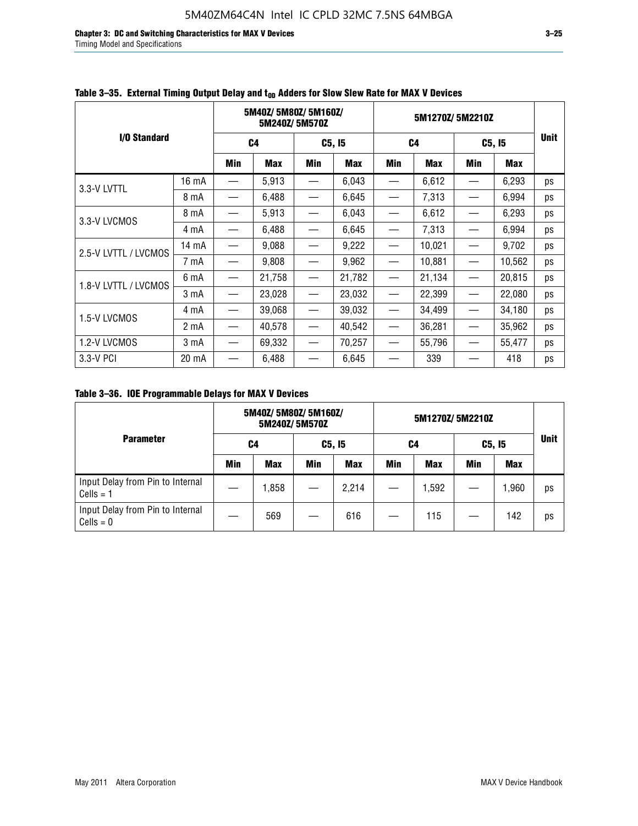**Chapter 3: DC and Switching Characteristics for MAX V Devices 3–25** Timing Model and Specifications

|                      |       | 5M40Z/5M80Z/5M160Z/<br>5M240Z/5M570Z |            |                               | 5M1270Z/5M2210Z |                   |                |                                  |        |             |
|----------------------|-------|--------------------------------------|------------|-------------------------------|-----------------|-------------------|----------------|----------------------------------|--------|-------------|
| I/O Standard         |       |                                      | C4         |                               | C5, I5          |                   | C <sub>4</sub> |                                  | C5, I5 | <b>Unit</b> |
|                      |       | Min                                  | <b>Max</b> | Min                           | <b>Max</b>      | Min               | <b>Max</b>     | Min                              | Max    |             |
| 3.3-V LVTTL          | 16 mA |                                      | 5,913      |                               | 6,043           |                   | 6,612          |                                  | 6,293  | ps          |
|                      | 8 mA  |                                      | 6,488      |                               | 6,645           |                   | 7,313          |                                  | 6,994  | ps          |
| 3.3-V LVCMOS         | 8 mA  |                                      | 5,913      |                               | 6,043           |                   | 6,612          |                                  | 6,293  | ps          |
|                      | 4 mA  | —                                    | 6,488      |                               | 6,645           |                   | 7,313          |                                  | 6,994  | ps          |
| 2.5-V LVTTL / LVCMOS | 14 mA |                                      | 9,088      |                               | 9,222           |                   | 10,021         |                                  | 9,702  | ps          |
|                      | 7 mA  |                                      | 9,808      |                               | 9,962           |                   | 10,881         |                                  | 10,562 | ps          |
| 1.8-V LVTTL / LVCMOS | 6 mA  | $\overline{\phantom{0}}$             | 21,758     |                               | 21,782          |                   | 21,134         |                                  | 20,815 | ps          |
|                      | 3 mA  |                                      | 23,028     | $\overbrace{\phantom{13333}}$ | 23,032          |                   | 22,399         |                                  | 22,080 | ps          |
| 1.5-V LVCMOS         | 4 mA  | $\overline{\phantom{0}}$             | 39,068     | $\overline{\phantom{m}}$      | 39,032          |                   | 34,499         |                                  | 34,180 | ps          |
|                      | 2 mA  |                                      | 40,578     |                               | 40,542          |                   | 36,281         |                                  | 35,962 | ps          |
| 1.2-V LVCMOS         | 3 mA  | $\overline{\phantom{0}}$             | 69,332     | $\overline{\phantom{m}}$      | 70,257          | $\hspace{0.05cm}$ | 55,796         | $\overbrace{\phantom{12322111}}$ | 55,477 | ps          |
| 3.3-V PCI            | 20 mA |                                      | 6,488      |                               | 6,645           |                   | 339            |                                  | 418    | ps          |

### Table 3–35. External Timing Output Delay and t<sub>on</sub> Adders for Slow Slew Rate for MAX V Devices

**Table 3–36. IOE Programmable Delays for MAX V Devices**

|                                                 | 5M40Z/5M80Z/5M160Z/<br>5M240Z/5M570Z |            |     |            | 5M1270Z/5M2210Z |            |     |            |             |
|-------------------------------------------------|--------------------------------------|------------|-----|------------|-----------------|------------|-----|------------|-------------|
| <b>Parameter</b>                                |                                      | C4         |     | C5, I5     |                 | C4         |     | C5, I5     | <b>Unit</b> |
|                                                 | Min                                  | <b>Max</b> | Min | <b>Max</b> | Min             | <b>Max</b> | Min | <b>Max</b> |             |
| Input Delay from Pin to Internal<br>$Cells = 1$ |                                      | 1,858      |     | 2,214      |                 | 1,592      |     | 1,960      | ps          |
| Input Delay from Pin to Internal<br>$Cells = 0$ |                                      | 569        |     | 616        |                 | 115        |     | 142        | ps          |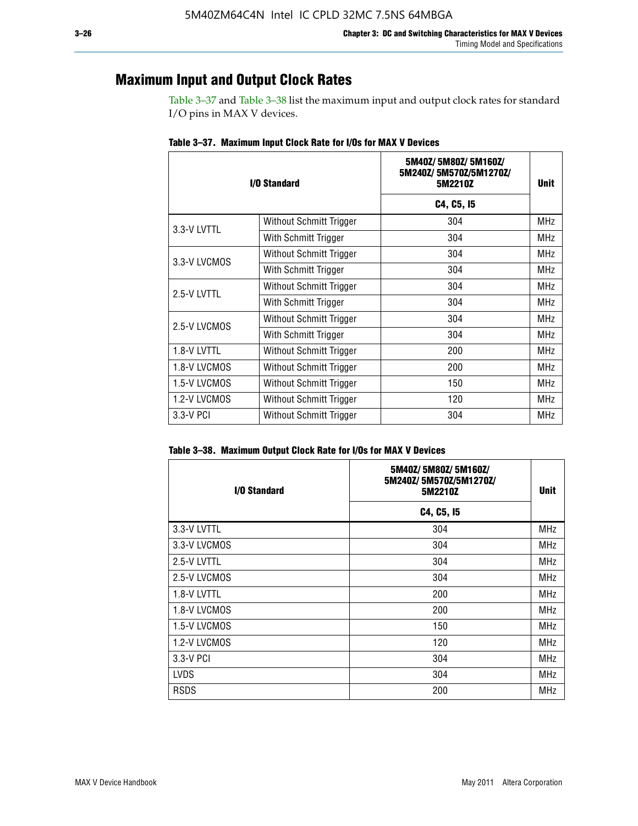### **Maximum Input and Output Clock Rates**

Table 3–37 and Table 3–38 list the maximum input and output clock rates for standard I/O pins in MAX V devices.

|              | I/O Standard            | 5M40Z/5M80Z/5M160Z/<br>5M240Z/5M570Z/5M1270Z/<br>5M2210Z | <b>Unit</b> |
|--------------|-------------------------|----------------------------------------------------------|-------------|
|              |                         | C4, C5, I5                                               |             |
| 3.3-V LVTTL  | Without Schmitt Trigger | 304                                                      | <b>MHz</b>  |
|              | With Schmitt Trigger    | 304                                                      | <b>MHz</b>  |
| 3.3-V LVCMOS | Without Schmitt Trigger | 304                                                      | <b>MHz</b>  |
|              | With Schmitt Trigger    | 304                                                      | MHz         |
| 2.5-V LVTTL  | Without Schmitt Trigger | 304                                                      | <b>MHz</b>  |
|              | With Schmitt Trigger    | 304                                                      | <b>MHz</b>  |
| 2.5-V LVCMOS | Without Schmitt Trigger | 304                                                      | <b>MHz</b>  |
|              | With Schmitt Trigger    | 304                                                      | <b>MHz</b>  |
| 1.8-V LVTTL  | Without Schmitt Trigger | 200                                                      | <b>MHz</b>  |
| 1.8-V LVCMOS | Without Schmitt Trigger | 200                                                      | <b>MHz</b>  |
| 1.5-V LVCMOS | Without Schmitt Trigger | 150                                                      | <b>MHz</b>  |
| 1.2-V LVCMOS | Without Schmitt Trigger | 120                                                      | <b>MHz</b>  |
| 3.3-V PCI    | Without Schmitt Trigger | 304                                                      | <b>MHz</b>  |

**Table 3–37. Maximum Input Clock Rate for I/Os for MAX V Devices**

|  |  | Table 3–38. Maximum Output Clock Rate for I/Os for MAX V Devices |
|--|--|------------------------------------------------------------------|
|  |  |                                                                  |

| I/O Standard | 5M40Z/5M80Z/5M160Z/<br>5M240Z/5M570Z/5M1270Z/<br>5M2210Z | Unit       |
|--------------|----------------------------------------------------------|------------|
|              | C4, C5, I5                                               |            |
| 3.3-V LVTTL  | 304                                                      | <b>MHz</b> |
| 3.3-V LVCMOS | 304                                                      | <b>MHz</b> |
| 2.5-V LVTTL  | 304                                                      | <b>MHz</b> |
| 2.5-V LVCMOS | 304                                                      | <b>MHz</b> |
| 1.8-V LVTTL  | 200                                                      | MHz        |
| 1.8-V LVCMOS | 200                                                      | <b>MHz</b> |
| 1.5-V LVCMOS | 150                                                      | <b>MHz</b> |
| 1.2-V LVCMOS | 120                                                      | <b>MHz</b> |
| 3.3-V PCI    | 304                                                      | <b>MHz</b> |
| <b>LVDS</b>  | 304                                                      | <b>MHz</b> |
| <b>RSDS</b>  | 200                                                      | <b>MHz</b> |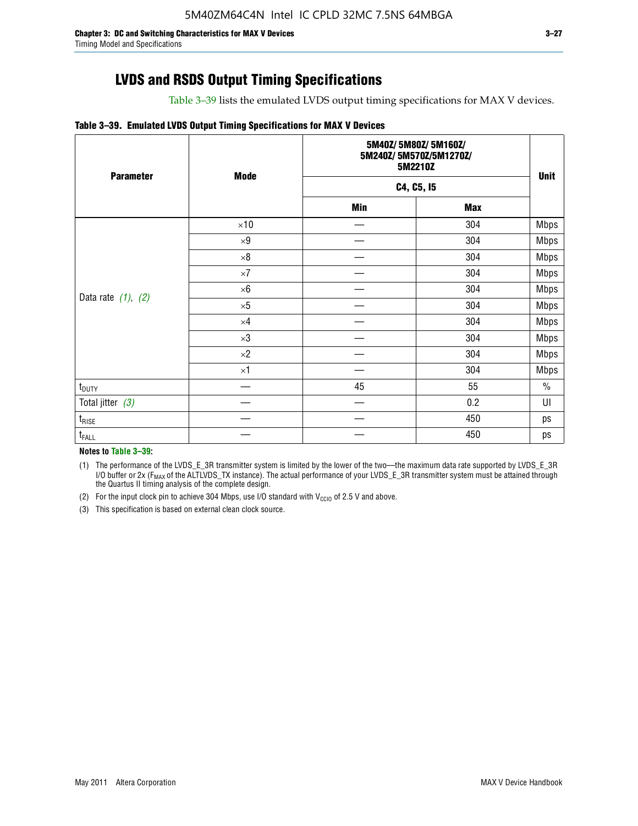Table 3–39 lists the emulated LVDS output timing specifications for MAX V devices.

#### **Table 3–39. Emulated LVDS Output Timing Specifications for MAX V Devices**

| <b>Parameter</b>        | <b>Mode</b> |     | 5M40Z/5M80Z/5M160Z/<br>5M240Z/5M570Z/5M1270Z/<br>5M2210Z |             |  |  |
|-------------------------|-------------|-----|----------------------------------------------------------|-------------|--|--|
|                         |             |     | C4, C5, I5                                               | <b>Unit</b> |  |  |
|                         |             | Min | <b>Max</b>                                               |             |  |  |
|                         | $\times 10$ |     | 304                                                      | <b>Mbps</b> |  |  |
|                         | $\times 9$  |     | 304                                                      | <b>Mbps</b> |  |  |
|                         | $\times 8$  |     | 304                                                      | <b>Mbps</b> |  |  |
|                         | $\times 7$  |     | 304                                                      | <b>Mbps</b> |  |  |
|                         | $\times 6$  |     | 304                                                      | <b>Mbps</b> |  |  |
| Data rate $(1)$ , $(2)$ | $\times 5$  |     | 304                                                      | <b>Mbps</b> |  |  |
|                         | $\times 4$  |     | 304                                                      | <b>Mbps</b> |  |  |
|                         | $\times 3$  |     | 304                                                      | <b>Mbps</b> |  |  |
|                         | $\times 2$  |     | 304                                                      | <b>Mbps</b> |  |  |
|                         | $\times$ 1  |     | 304                                                      | <b>Mbps</b> |  |  |
| $t_{\text{DUTY}}$       |             | 45  | 55                                                       | $\%$        |  |  |
| Total jitter $(3)$      |             |     | 0.2                                                      | UI          |  |  |
| $t_{\text{RISE}}$       |             |     | 450                                                      | ps          |  |  |
| $t_{FALL}$              |             |     | 450                                                      | ps          |  |  |

**Notes to Table 3–39:**

(1) The performance of the LVDS\_E\_3R transmitter system is limited by the lower of the two—the maximum data rate supported by LVDS\_E\_3R I/O buffer or 2x (F<sub>MAX</sub> of the ALTLVDS\_TX instance). The actual performance of your LVDS\_E\_3R transmitter system must be attained through the Quartus II timing analysis of the complete design.

(2) For the input clock pin to achieve 304 Mbps, use I/O standard with  $V_{\text{CCIO}}$  of 2.5 V and above.

(3) This specification is based on external clean clock source.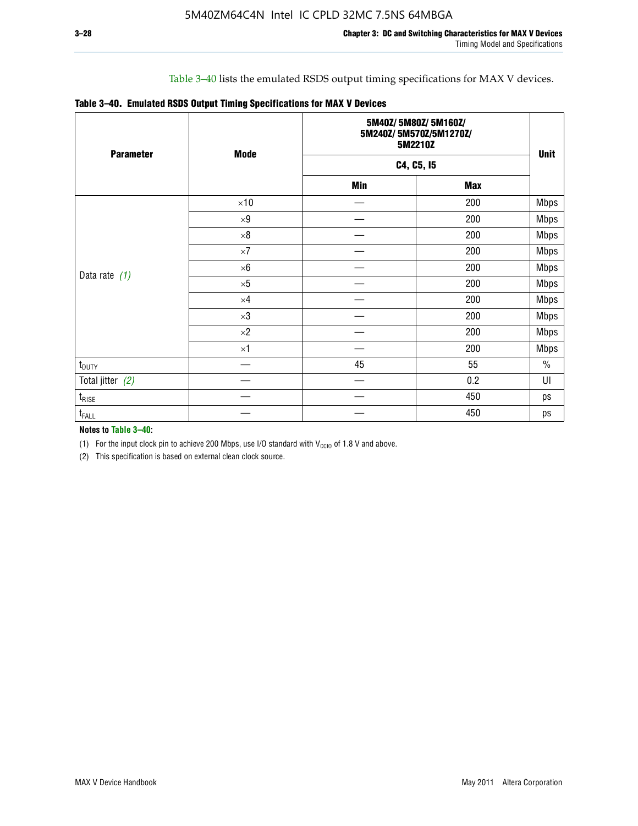### Table 3–40 lists the emulated RSDS output timing specifications for MAX V devices.

|  |  |  |  | Table 3-40. Emulated RSDS Output Timing Specifications for MAX V Devices |
|--|--|--|--|--------------------------------------------------------------------------|
|--|--|--|--|--------------------------------------------------------------------------|

| <b>Parameter</b>  | <b>Mode</b> |            | 5M40Z/5M80Z/5M160Z/<br>5M240Z/5M570Z/5M1270Z/<br>5M2210Z |             |  |  |
|-------------------|-------------|------------|----------------------------------------------------------|-------------|--|--|
|                   |             |            | C4, C5, I5                                               | <b>Unit</b> |  |  |
|                   |             | <b>Min</b> | <b>Max</b>                                               |             |  |  |
|                   | $\times 10$ |            | 200                                                      | <b>Mbps</b> |  |  |
|                   | $\times 9$  |            | 200                                                      | <b>Mbps</b> |  |  |
|                   | $\times 8$  |            | 200                                                      | <b>Mbps</b> |  |  |
|                   | $\times 7$  |            | 200                                                      | <b>Mbps</b> |  |  |
|                   | $\times 6$  |            | 200                                                      | <b>Mbps</b> |  |  |
| Data rate $(1)$   | $\times 5$  |            | 200                                                      | <b>Mbps</b> |  |  |
|                   | $\times 4$  |            | 200                                                      | <b>Mbps</b> |  |  |
|                   | $\times 3$  |            | 200                                                      | <b>Mbps</b> |  |  |
|                   | $\times 2$  |            | 200                                                      | <b>Mbps</b> |  |  |
|                   | $\times1$   |            | 200                                                      | <b>Mbps</b> |  |  |
| $t_{\text{DUTY}}$ |             | 45         | 55                                                       | $\%$        |  |  |
| Total jitter (2)  |             |            | 0.2                                                      | UI          |  |  |
| $t_{\rm RISE}$    |             |            | 450                                                      | ps          |  |  |
| $t_{FALL}$        |             |            | 450                                                      | ps          |  |  |

**Notes to Table 3–40:**

(1) For the input clock pin to achieve 200 Mbps, use I/O standard with  $V_{\text{CCIO}}$  of 1.8 V and above.

(2) This specification is based on external clean clock source.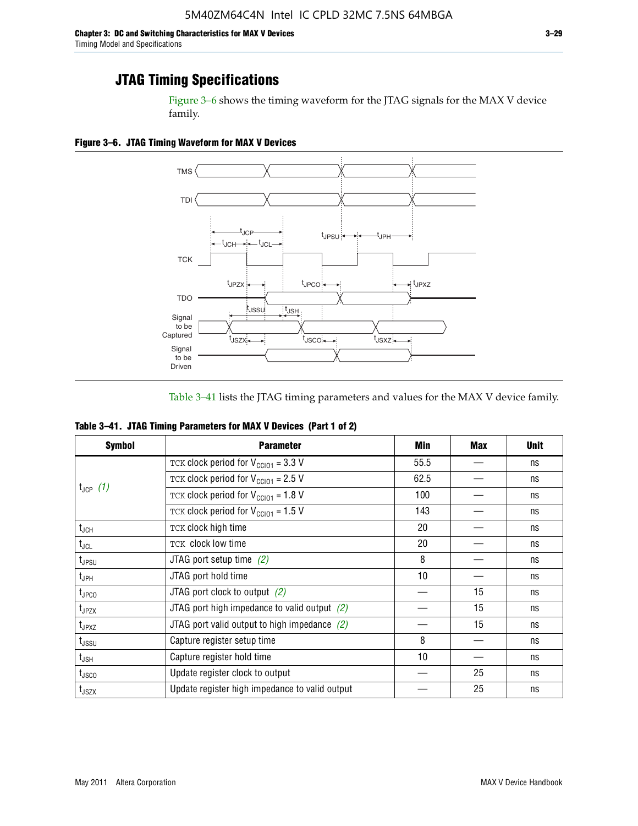Figure 3–6 shows the timing waveform for the JTAG signals for the MAX V device family.

**Figure 3–6. JTAG Timing Waveform for MAX V Devices**



Table 3–41 lists the JTAG timing parameters and values for the MAX V device family.

| Table 3-41. JTAG Timing Parameters for MAX V Devices (Part 1 of 2) |  |  |
|--------------------------------------------------------------------|--|--|
|                                                                    |  |  |

| <b>Symbol</b>               | <b>Parameter</b>                                            | Min  | <b>Max</b> | <b>Unit</b> |
|-----------------------------|-------------------------------------------------------------|------|------------|-------------|
|                             | TCK clock period for $V_{\text{CC}}$ <sub>101</sub> = 3.3 V | 55.5 |            | ns          |
|                             | TCK clock period for $V_{CC101} = 2.5 V$                    | 62.5 |            | ns          |
| $t_{JCP}$ (1)               | TCK clock period for $V_{\text{CC}}$ <sub>101</sub> = 1.8 V | 100  |            | ns          |
|                             | TCK clock period for $V_{\text{CC101}} = 1.5$ V             | 143  |            | ns          |
| $t_{JCH}$                   | TCK clock high time                                         | 20   |            | ns          |
| $t_{\sf JCL}$               | TCK clock low time                                          | 20   |            | ns          |
| $t_{JPSU}$                  | JTAG port setup time $(2)$                                  | 8    |            | ns          |
| $t_{\sf JPH}$               | JTAG port hold time                                         | 10   |            | ns          |
| $t_{\text{JPCO}}$           | JTAG port clock to output $(2)$                             |      | 15         | ns          |
| t <sub>JPZX</sub>           | JTAG port high impedance to valid output $(2)$              |      | 15         | ns          |
| $t_{JPXZ}$                  | JTAG port valid output to high impedance $(2)$              |      | 15         | ns          |
| t <sub>JSSU</sub>           | Capture register setup time                                 | 8    |            | ns          |
| $\mathsf{t}_{\mathsf{JSH}}$ | Capture register hold time                                  | 10   |            | ns          |
| t <sub>usco</sub>           | Update register clock to output                             |      | 25         | ns          |
| $t_{\text{JSZX}}$           | Update register high impedance to valid output              |      | 25         | ns          |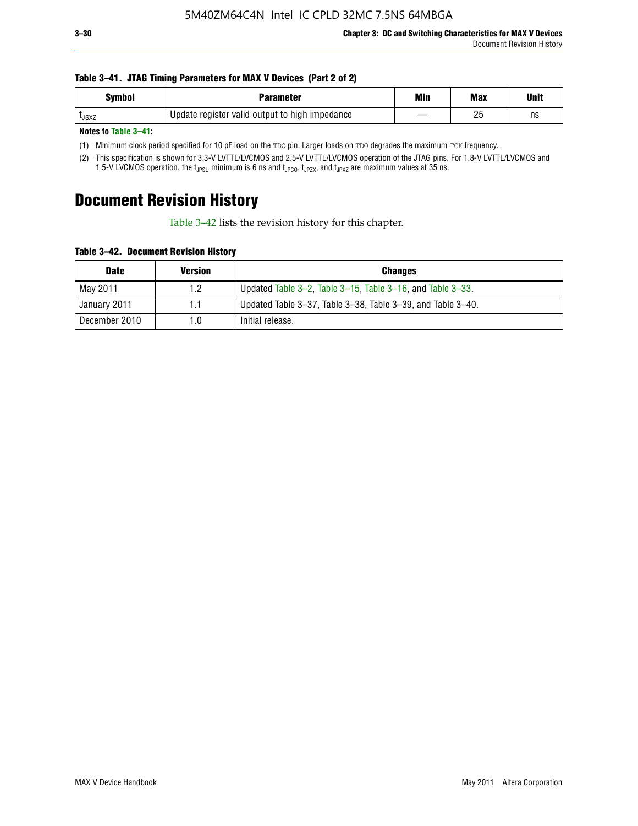#### **Table 3–41. JTAG Timing Parameters for MAX V Devices (Part 2 of 2)**

| <b>Symbol</b> | Parameter                                      | Min | <b>Max</b> | Unit |
|---------------|------------------------------------------------|-----|------------|------|
| <b>L</b> JSXZ | Update register valid output to high impedance |     | りに<br>۷J   | ns   |

**Notes to Table 3–41:**

(1) Minimum clock period specified for 10 pF load on the TDO pin. Larger loads on TDO degrades the maximum TCK frequency.

(2) This specification is shown for 3.3-V LVTTL/LVCMOS and 2.5-V LVTTL/LVCMOS operation of the JTAG pins. For 1.8-V LVTTL/LVCMOS and 1.5-V LVCMOS operation, the t<sub>JPSU</sub> minimum is 6 ns and t<sub>JPCO</sub>, t<sub>JPZX</sub>, and t<sub>JPXZ</sub> are maximum values at 35 ns.

# **Document Revision History**

Table 3–42 lists the revision history for this chapter.

**Table 3–42. Document Revision History**

| <b>Date</b>   | <b>Version</b> | <b>Changes</b>                                              |
|---------------|----------------|-------------------------------------------------------------|
| May 2011      | 1.2            | Updated Table 3–2, Table 3–15, Table 3–16, and Table 3–33.  |
| January 2011  | 1.1            | Updated Table 3–37, Table 3–38, Table 3–39, and Table 3–40. |
| December 2010 | 1.0            | Initial release.                                            |